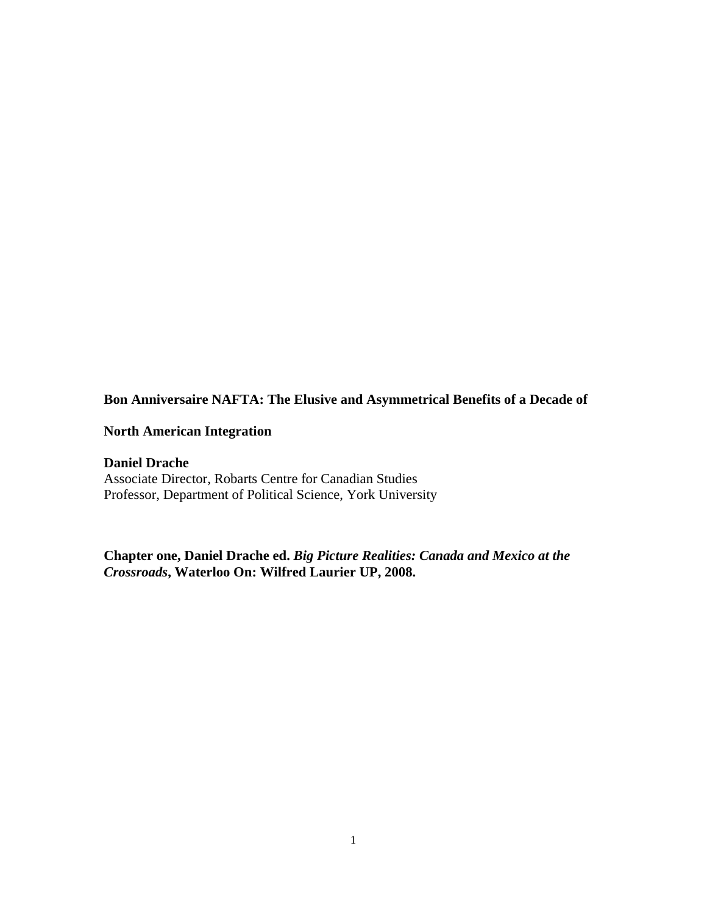## **Bon Anniversaire NAFTA: The Elusive and Asymmetrical Benefits of a Decade of**

## **North American Integration**

**Daniel Drache**  Associate Director, Robarts Centre for Canadian Studies Professor, Department of Political Science, York University

**Chapter one, Daniel Drache ed.** *Big Picture Realities: Canada and Mexico at the Crossroads***, Waterloo On: Wilfred Laurier UP, 2008.**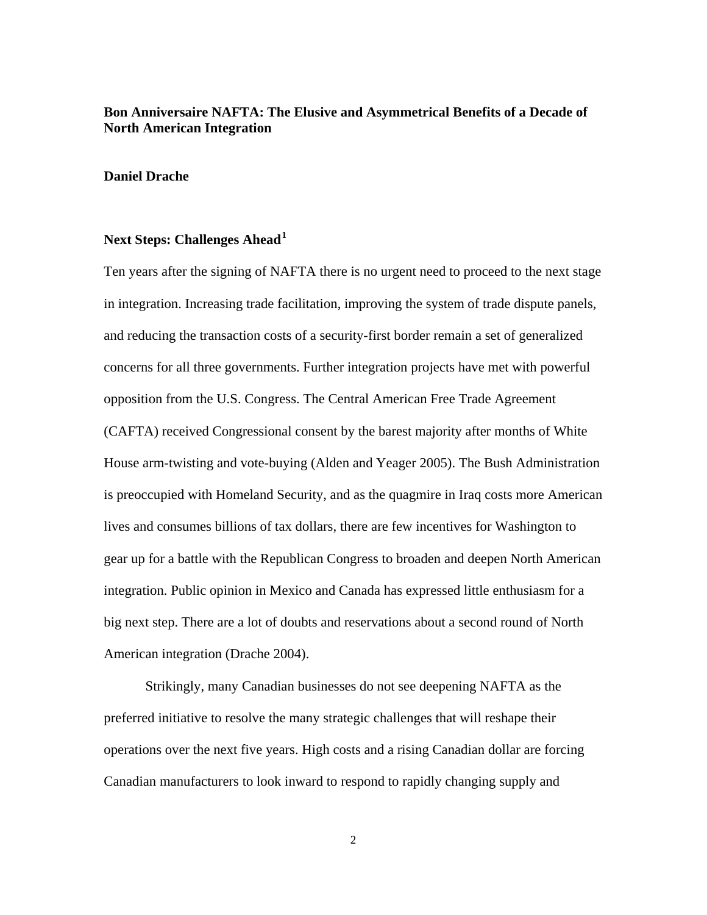## **Bon Anniversaire NAFTA: The Elusive and Asymmetrical Benefits of a Decade of North American Integration**

#### **Daniel Drache**

## **Next Steps: Challenges Ahead[1](#page-34-0)**

Ten years after the signing of NAFTA there is no urgent need to proceed to the next stage in integration. Increasing trade facilitation, improving the system of trade dispute panels, and reducing the transaction costs of a security-first border remain a set of generalized concerns for all three governments. Further integration projects have met with powerful opposition from the U.S. Congress. The Central American Free Trade Agreement (CAFTA) received Congressional consent by the barest majority after months of White House arm-twisting and vote-buying (Alden and Yeager 2005). The Bush Administration is preoccupied with Homeland Security, and as the quagmire in Iraq costs more American lives and consumes billions of tax dollars, there are few incentives for Washington to gear up for a battle with the Republican Congress to broaden and deepen North American integration. Public opinion in Mexico and Canada has expressed little enthusiasm for a big next step. There are a lot of doubts and reservations about a second round of North American integration (Drache 2004).

Strikingly, many Canadian businesses do not see deepening NAFTA as the preferred initiative to resolve the many strategic challenges that will reshape their operations over the next five years. High costs and a rising Canadian dollar are forcing Canadian manufacturers to look inward to respond to rapidly changing supply and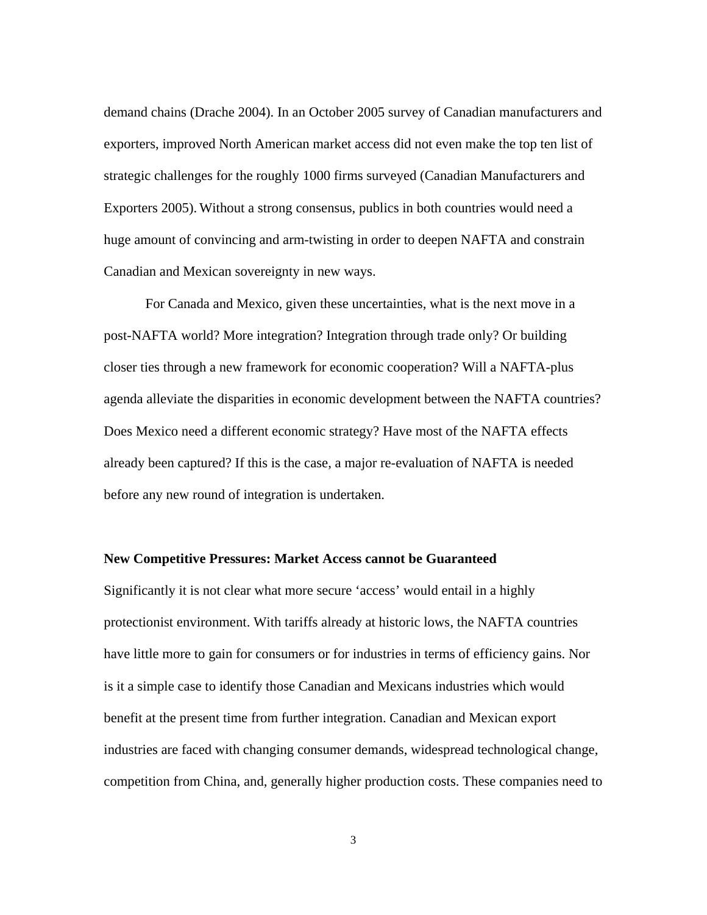demand chains (Drache 2004). In an October 2005 survey of Canadian manufacturers and exporters, improved North American market access did not even make the top ten list of strategic challenges for the roughly 1000 firms surveyed (Canadian Manufacturers and Exporters 2005). Without a strong consensus, publics in both countries would need a huge amount of convincing and arm-twisting in order to deepen NAFTA and constrain Canadian and Mexican sovereignty in new ways.

For Canada and Mexico, given these uncertainties, what is the next move in a post-NAFTA world? More integration? Integration through trade only? Or building closer ties through a new framework for economic cooperation? Will a NAFTA-plus agenda alleviate the disparities in economic development between the NAFTA countries? Does Mexico need a different economic strategy? Have most of the NAFTA effects already been captured? If this is the case, a major re-evaluation of NAFTA is needed before any new round of integration is undertaken.

#### **New Competitive Pressures: Market Access cannot be Guaranteed**

Significantly it is not clear what more secure 'access' would entail in a highly protectionist environment. With tariffs already at historic lows, the NAFTA countries have little more to gain for consumers or for industries in terms of efficiency gains. Nor is it a simple case to identify those Canadian and Mexicans industries which would benefit at the present time from further integration. Canadian and Mexican export industries are faced with changing consumer demands, widespread technological change, competition from China, and, generally higher production costs. These companies need to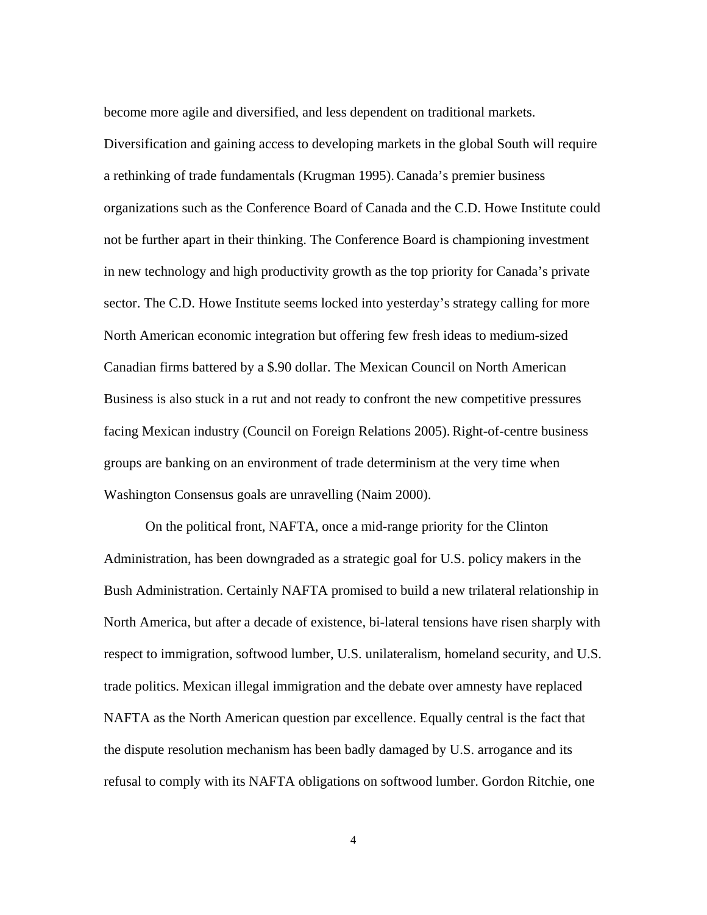become more agile and diversified, and less dependent on traditional markets.

Diversification and gaining access to developing markets in the global South will require a rethinking of trade fundamentals (Krugman 1995).Canada's premier business organizations such as the Conference Board of Canada and the C.D. Howe Institute could not be further apart in their thinking. The Conference Board is championing investment in new technology and high productivity growth as the top priority for Canada's private sector. The C.D. Howe Institute seems locked into yesterday's strategy calling for more North American economic integration but offering few fresh ideas to medium-sized Canadian firms battered by a \$.90 dollar. The Mexican Council on North American Business is also stuck in a rut and not ready to confront the new competitive pressures facing Mexican industry (Council on Foreign Relations 2005). Right-of-centre business groups are banking on an environment of trade determinism at the very time when Washington Consensus goals are unravelling (Naim 2000).

On the political front, NAFTA, once a mid-range priority for the Clinton Administration, has been downgraded as a strategic goal for U.S. policy makers in the Bush Administration. Certainly NAFTA promised to build a new trilateral relationship in North America, but after a decade of existence, bi-lateral tensions have risen sharply with respect to immigration, softwood lumber, U.S. unilateralism, homeland security, and U.S. trade politics. Mexican illegal immigration and the debate over amnesty have replaced NAFTA as the North American question par excellence. Equally central is the fact that the dispute resolution mechanism has been badly damaged by U.S. arrogance and its refusal to comply with its NAFTA obligations on softwood lumber. Gordon Ritchie, one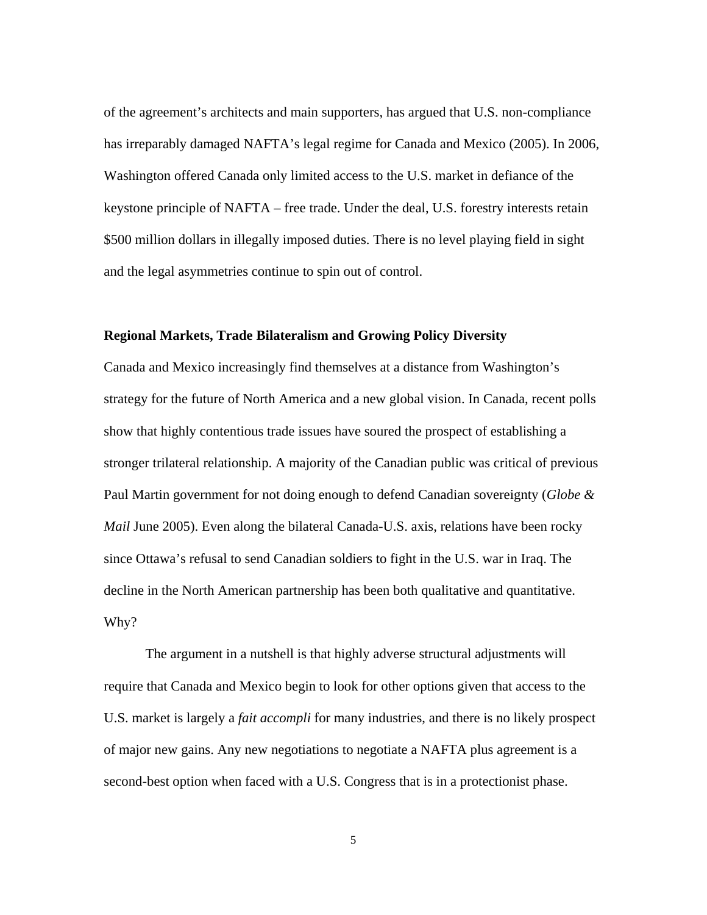of the agreement's architects and main supporters, has argued that U.S. non-compliance has irreparably damaged NAFTA's legal regime for Canada and Mexico (2005). In 2006, Washington offered Canada only limited access to the U.S. market in defiance of the keystone principle of NAFTA – free trade. Under the deal, U.S. forestry interests retain \$500 million dollars in illegally imposed duties. There is no level playing field in sight and the legal asymmetries continue to spin out of control.

#### **Regional Markets, Trade Bilateralism and Growing Policy Diversity**

Canada and Mexico increasingly find themselves at a distance from Washington's strategy for the future of North America and a new global vision. In Canada, recent polls show that highly contentious trade issues have soured the prospect of establishing a stronger trilateral relationship. A majority of the Canadian public was critical of previous Paul Martin government for not doing enough to defend Canadian sovereignty (*Globe & Mail June 2005*). Even along the bilateral Canada-U.S. axis, relations have been rocky since Ottawa's refusal to send Canadian soldiers to fight in the U.S. war in Iraq. The decline in the North American partnership has been both qualitative and quantitative. Why?

The argument in a nutshell is that highly adverse structural adjustments will require that Canada and Mexico begin to look for other options given that access to the U.S. market is largely a *fait accompli* for many industries, and there is no likely prospect of major new gains. Any new negotiations to negotiate a NAFTA plus agreement is a second-best option when faced with a U.S. Congress that is in a protectionist phase.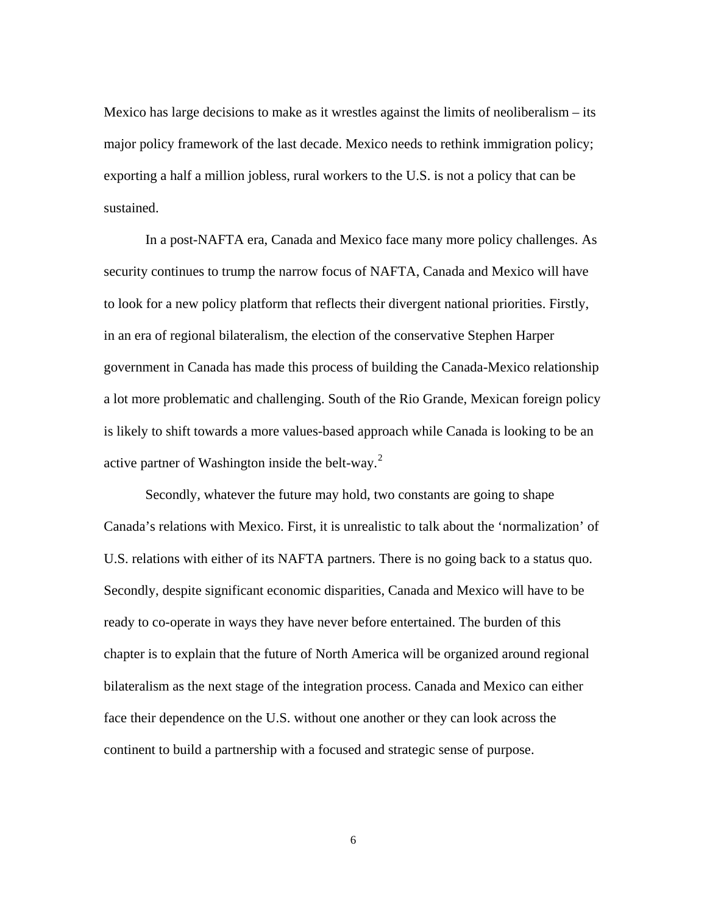Mexico has large decisions to make as it wrestles against the limits of neoliberalism – its major policy framework of the last decade. Mexico needs to rethink immigration policy; exporting a half a million jobless, rural workers to the U.S. is not a policy that can be sustained.

In a post-NAFTA era, Canada and Mexico face many more policy challenges. As security continues to trump the narrow focus of NAFTA, Canada and Mexico will have to look for a new policy platform that reflects their divergent national priorities. Firstly, in an era of regional bilateralism, the election of the conservative Stephen Harper government in Canada has made this process of building the Canada-Mexico relationship a lot more problematic and challenging. South of the Rio Grande, Mexican foreign policy is likely to shift towards a more values-based approach while Canada is looking to be an active partner of Washington inside the belt-way.<sup>[2](#page-34-1)</sup>

Secondly, whatever the future may hold, two constants are going to shape Canada's relations with Mexico. First, it is unrealistic to talk about the 'normalization' of U.S. relations with either of its NAFTA partners. There is no going back to a status quo. Secondly, despite significant economic disparities, Canada and Mexico will have to be ready to co-operate in ways they have never before entertained. The burden of this chapter is to explain that the future of North America will be organized around regional bilateralism as the next stage of the integration process. Canada and Mexico can either face their dependence on the U.S. without one another or they can look across the continent to build a partnership with a focused and strategic sense of purpose.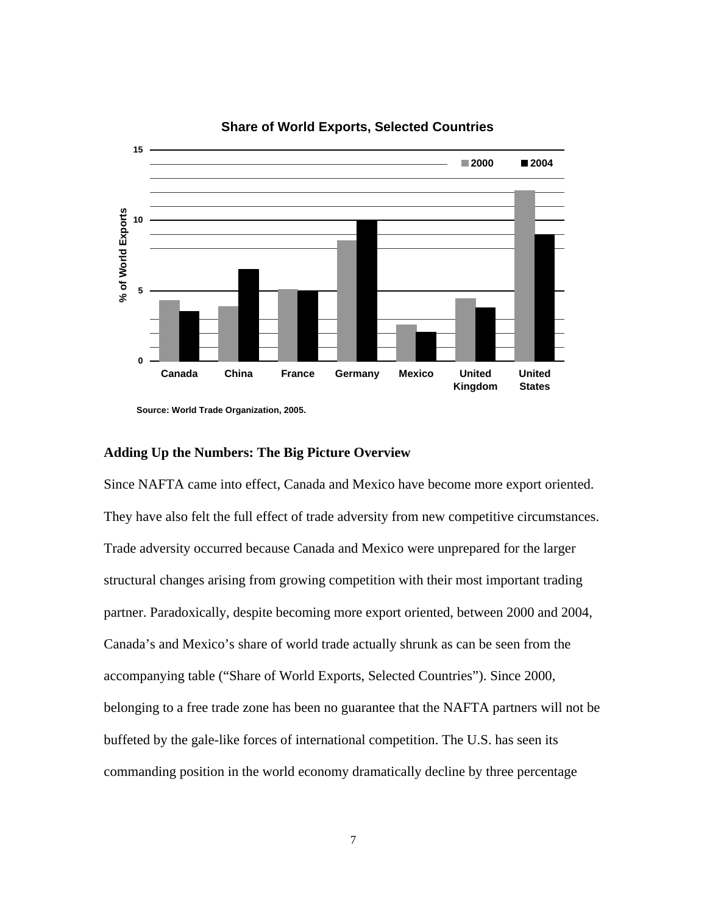

## **Share of World Exports, Selected Countries**

## **Adding Up the Numbers: The Big Picture Overview**

Since NAFTA came into effect, Canada and Mexico have become more export oriented. They have also felt the full effect of trade adversity from new competitive circumstances. Trade adversity occurred because Canada and Mexico were unprepared for the larger structural changes arising from growing competition with their most important trading partner. Paradoxically, despite becoming more export oriented, between 2000 and 2004, Canada's and Mexico's share of world trade actually shrunk as can be seen from the accompanying table ("Share of World Exports, Selected Countries"). Since 2000, belonging to a free trade zone has been no guarantee that the NAFTA partners will not be buffeted by the gale-like forces of international competition. The U.S. has seen its commanding position in the world economy dramatically decline by three percentage

**Source: World Trade Organization, 2005.**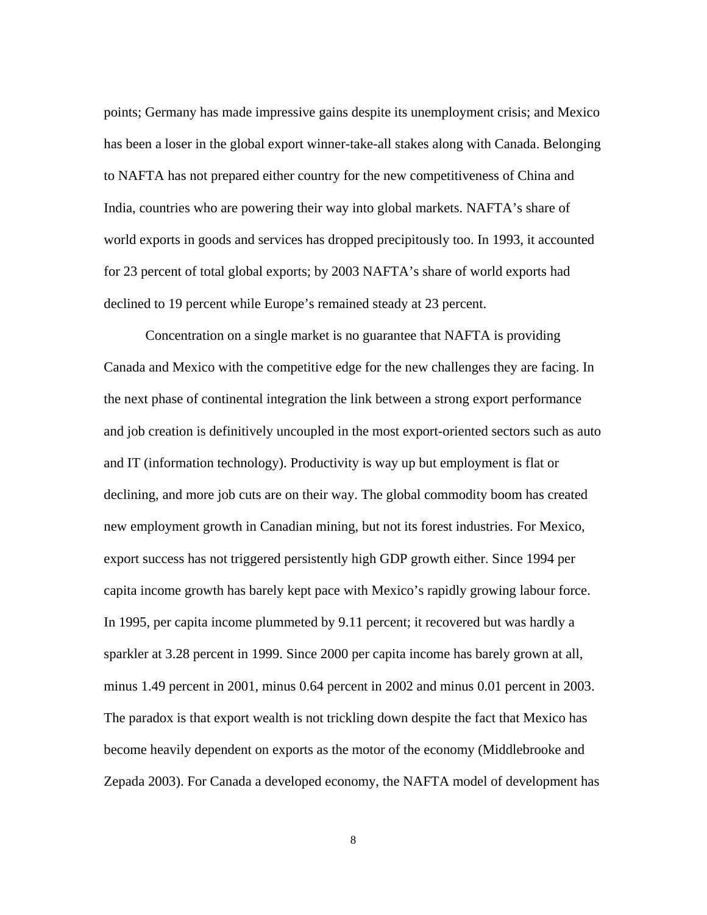points; Germany has made impressive gains despite its unemployment crisis; and Mexico has been a loser in the global export winner-take-all stakes along with Canada. Belonging to NAFTA has not prepared either country for the new competitiveness of China and India, countries who are powering their way into global markets. NAFTA's share of world exports in goods and services has dropped precipitously too. In 1993, it accounted for 23 percent of total global exports; by 2003 NAFTA's share of world exports had declined to 19 percent while Europe's remained steady at 23 percent.

Concentration on a single market is no guarantee that NAFTA is providing Canada and Mexico with the competitive edge for the new challenges they are facing. In the next phase of continental integration the link between a strong export performance and job creation is definitively uncoupled in the most export-oriented sectors such as auto and IT (information technology). Productivity is way up but employment is flat or declining, and more job cuts are on their way. The global commodity boom has created new employment growth in Canadian mining, but not its forest industries. For Mexico, export success has not triggered persistently high GDP growth either. Since 1994 per capita income growth has barely kept pace with Mexico's rapidly growing labour force. In 1995, per capita income plummeted by 9.11 percent; it recovered but was hardly a sparkler at 3.28 percent in 1999. Since 2000 per capita income has barely grown at all, minus 1.49 percent in 2001, minus 0.64 percent in 2002 and minus 0.01 percent in 2003. The paradox is that export wealth is not trickling down despite the fact that Mexico has become heavily dependent on exports as the motor of the economy (Middlebrooke and Zepada 2003). For Canada a developed economy, the NAFTA model of development has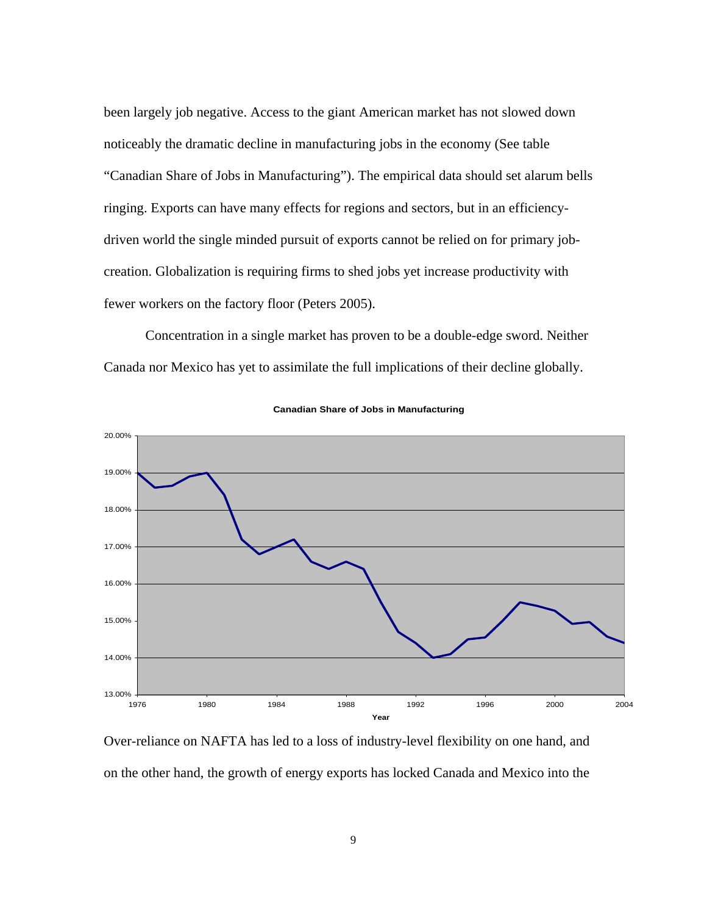been largely job negative. Access to the giant American market has not slowed down noticeably the dramatic decline in manufacturing jobs in the economy (See table "Canadian Share of Jobs in Manufacturing"). The empirical data should set alarum bells ringing. Exports can have many effects for regions and sectors, but in an efficiencydriven world the single minded pursuit of exports cannot be relied on for primary jobcreation. Globalization is requiring firms to shed jobs yet increase productivity with fewer workers on the factory floor (Peters 2005).

Concentration in a single market has proven to be a double-edge sword. Neither Canada nor Mexico has yet to assimilate the full implications of their decline globally.



**Canadian Share of Jobs in Manufacturing**

Over-reliance on NAFTA has led to a loss of industry-level flexibility on one hand, and on the other hand, the growth of energy exports has locked Canada and Mexico into the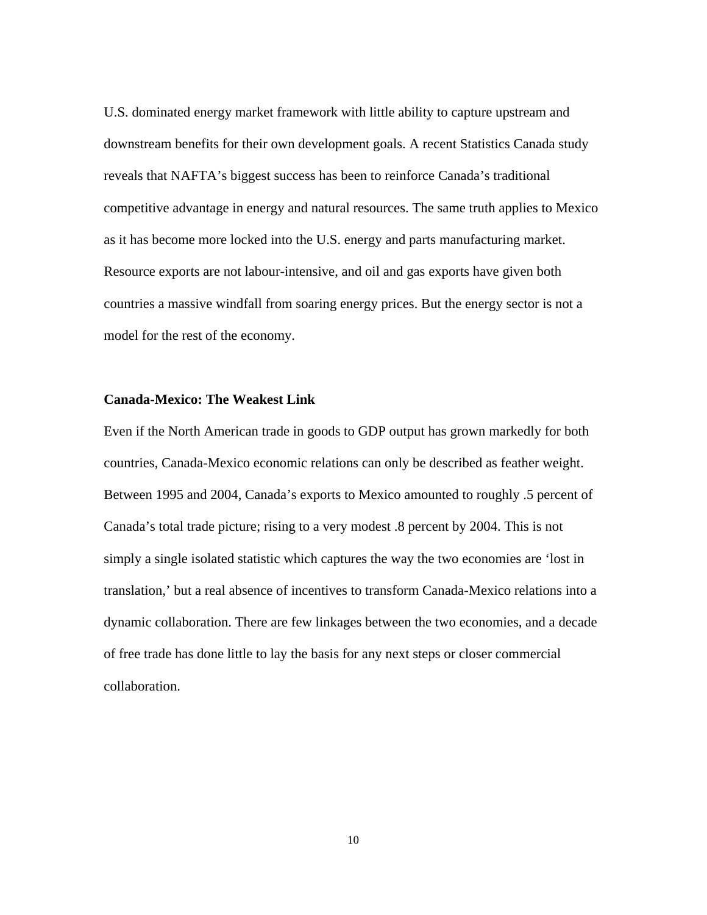U.S. dominated energy market framework with little ability to capture upstream and downstream benefits for their own development goals. A recent Statistics Canada study reveals that NAFTA's biggest success has been to reinforce Canada's traditional competitive advantage in energy and natural resources. The same truth applies to Mexico as it has become more locked into the U.S. energy and parts manufacturing market. Resource exports are not labour-intensive, and oil and gas exports have given both countries a massive windfall from soaring energy prices. But the energy sector is not a model for the rest of the economy.

## **Canada-Mexico: The Weakest Link**

Even if the North American trade in goods to GDP output has grown markedly for both countries, Canada-Mexico economic relations can only be described as feather weight. Between 1995 and 2004, Canada's exports to Mexico amounted to roughly .5 percent of Canada's total trade picture; rising to a very modest .8 percent by 2004. This is not simply a single isolated statistic which captures the way the two economies are 'lost in translation,' but a real absence of incentives to transform Canada-Mexico relations into a dynamic collaboration. There are few linkages between the two economies, and a decade of free trade has done little to lay the basis for any next steps or closer commercial collaboration.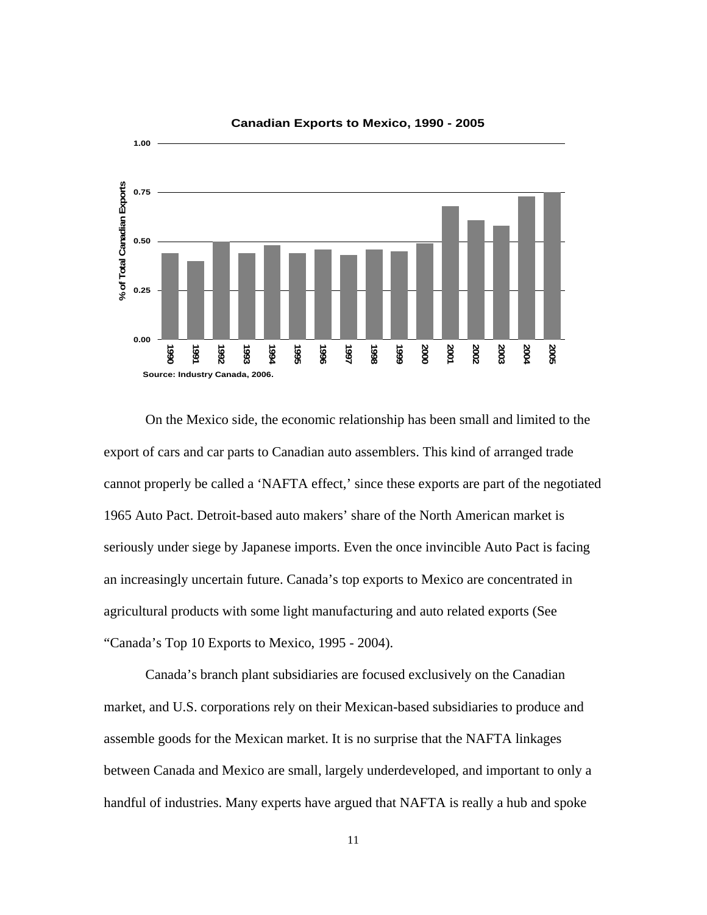

On the Mexico side, the economic relationship has been small and limited to the export of cars and car parts to Canadian auto assemblers. This kind of arranged trade cannot properly be called a 'NAFTA effect,' since these exports are part of the negotiated 1965 Auto Pact. Detroit-based auto makers' share of the North American market is seriously under siege by Japanese imports. Even the once invincible Auto Pact is facing an increasingly uncertain future. Canada's top exports to Mexico are concentrated in agricultural products with some light manufacturing and auto related exports (See "Canada's Top 10 Exports to Mexico, 1995 - 2004).

Canada's branch plant subsidiaries are focused exclusively on the Canadian market, and U.S. corporations rely on their Mexican-based subsidiaries to produce and assemble goods for the Mexican market. It is no surprise that the NAFTA linkages between Canada and Mexico are small, largely underdeveloped, and important to only a handful of industries. Many experts have argued that NAFTA is really a hub and spoke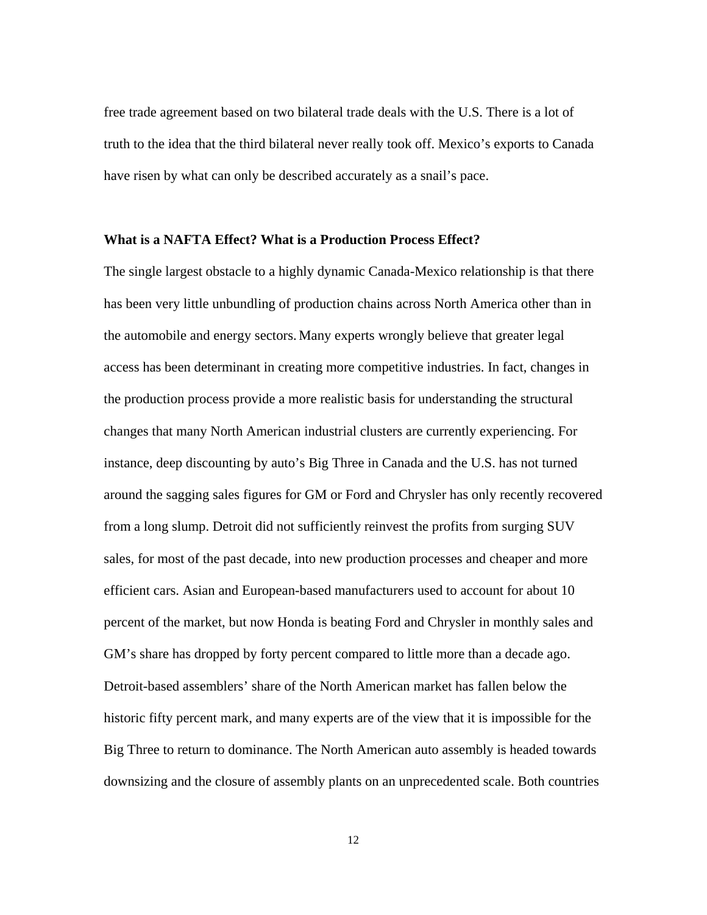free trade agreement based on two bilateral trade deals with the U.S. There is a lot of truth to the idea that the third bilateral never really took off. Mexico's exports to Canada have risen by what can only be described accurately as a snail's pace.

#### **What is a NAFTA Effect? What is a Production Process Effect?**

The single largest obstacle to a highly dynamic Canada-Mexico relationship is that there has been very little unbundling of production chains across North America other than in the automobile and energy sectors. Many experts wrongly believe that greater legal access has been determinant in creating more competitive industries. In fact, changes in the production process provide a more realistic basis for understanding the structural changes that many North American industrial clusters are currently experiencing. For instance, deep discounting by auto's Big Three in Canada and the U.S. has not turned around the sagging sales figures for GM or Ford and Chrysler has only recently recovered from a long slump. Detroit did not sufficiently reinvest the profits from surging SUV sales, for most of the past decade, into new production processes and cheaper and more efficient cars. Asian and European-based manufacturers used to account for about 10 percent of the market, but now Honda is beating Ford and Chrysler in monthly sales and GM's share has dropped by forty percent compared to little more than a decade ago. Detroit-based assemblers' share of the North American market has fallen below the historic fifty percent mark, and many experts are of the view that it is impossible for the Big Three to return to dominance. The North American auto assembly is headed towards downsizing and the closure of assembly plants on an unprecedented scale. Both countries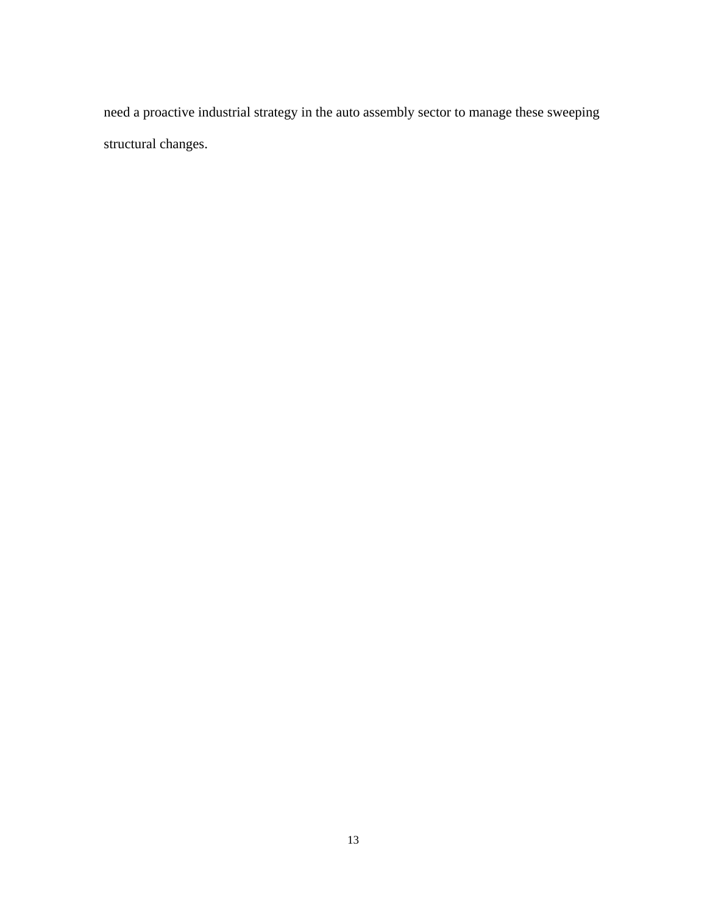need a proactive industrial strategy in the auto assembly sector to manage these sweeping structural changes.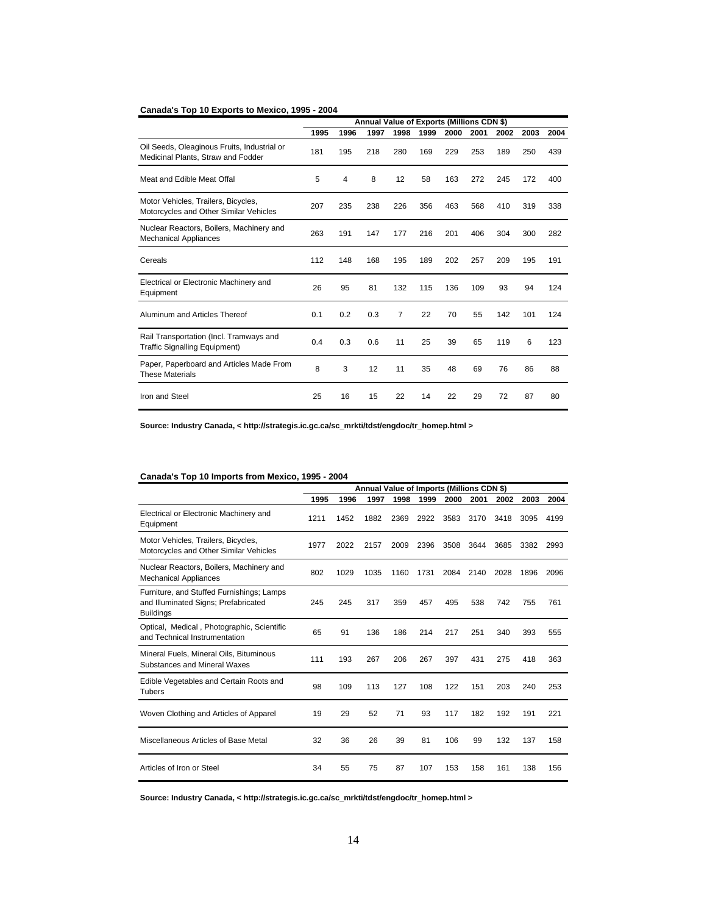#### **Canada's Top 10 Exports to Mexico, 1995 - 2004**

|                                                                                   | Annual Value of Exports (Millions CDN \$) |      |      |                |      |      |      |      |      |      |
|-----------------------------------------------------------------------------------|-------------------------------------------|------|------|----------------|------|------|------|------|------|------|
|                                                                                   | 1995                                      | 1996 | 1997 | 1998           | 1999 | 2000 | 2001 | 2002 | 2003 | 2004 |
| Oil Seeds, Oleaginous Fruits, Industrial or<br>Medicinal Plants, Straw and Fodder | 181                                       | 195  | 218  | 280            | 169  | 229  | 253  | 189  | 250  | 439  |
| Meat and Edible Meat Offal                                                        | 5                                         | 4    | 8    | 12             | 58   | 163  | 272  | 245  | 172  | 400  |
| Motor Vehicles, Trailers, Bicycles,<br>Motorcycles and Other Similar Vehicles     | 207                                       | 235  | 238  | 226            | 356  | 463  | 568  | 410  | 319  | 338  |
| Nuclear Reactors, Boilers, Machinery and<br><b>Mechanical Appliances</b>          | 263                                       | 191  | 147  | 177            | 216  | 201  | 406  | 304  | 300  | 282  |
| Cereals                                                                           | 112                                       | 148  | 168  | 195            | 189  | 202  | 257  | 209  | 195  | 191  |
| Electrical or Electronic Machinery and<br>Equipment                               | 26                                        | 95   | 81   | 132            | 115  | 136  | 109  | 93   | 94   | 124  |
| Aluminum and Articles Thereof                                                     | 0.1                                       | 0.2  | 0.3  | $\overline{7}$ | 22   | 70   | 55   | 142  | 101  | 124  |
| Rail Transportation (Incl. Tramways and<br><b>Traffic Signalling Equipment)</b>   | 0.4                                       | 0.3  | 0.6  | 11             | 25   | 39   | 65   | 119  | 6    | 123  |
| Paper, Paperboard and Articles Made From<br><b>These Materials</b>                | 8                                         | 3    | 12   | 11             | 35   | 48   | 69   | 76   | 86   | 88   |
| Iron and Steel                                                                    | 25                                        | 16   | 15   | 22             | 14   | 22   | 29   | 72   | 87   | 80   |

**Source: Industry Canada, < http://strategis.ic.gc.ca/sc\_mrkti/tdst/engdoc/tr\_homep.html >** 

#### **Canada's Top 10 Imports from Mexico, 1995 - 2004**

|                                                                                                       | Annual Value of Imports (Millions CDN \$) |      |      |      |      |      |      |      |      |      |
|-------------------------------------------------------------------------------------------------------|-------------------------------------------|------|------|------|------|------|------|------|------|------|
|                                                                                                       | 1995                                      | 1996 | 1997 | 1998 | 1999 | 2000 | 2001 | 2002 | 2003 | 2004 |
| Electrical or Electronic Machinery and<br>Equipment                                                   | 1211                                      | 1452 | 1882 | 2369 | 2922 | 3583 | 3170 | 3418 | 3095 | 4199 |
| Motor Vehicles, Trailers, Bicycles,<br>Motorcycles and Other Similar Vehicles                         | 1977                                      | 2022 | 2157 | 2009 | 2396 | 3508 | 3644 | 3685 | 3382 | 2993 |
| Nuclear Reactors, Boilers, Machinery and<br><b>Mechanical Appliances</b>                              | 802                                       | 1029 | 1035 | 1160 | 1731 | 2084 | 2140 | 2028 | 1896 | 2096 |
| Furniture, and Stuffed Furnishings; Lamps<br>and Illuminated Signs; Prefabricated<br><b>Buildings</b> | 245                                       | 245  | 317  | 359  | 457  | 495  | 538  | 742  | 755  | 761  |
| Optical, Medical, Photographic, Scientific<br>and Technical Instrumentation                           | 65                                        | 91   | 136  | 186  | 214  | 217  | 251  | 340  | 393  | 555  |
| Mineral Fuels, Mineral Oils, Bituminous<br>Substances and Mineral Waxes                               | 111                                       | 193  | 267  | 206  | 267  | 397  | 431  | 275  | 418  | 363  |
| Edible Vegetables and Certain Roots and<br>Tubers                                                     | 98                                        | 109  | 113  | 127  | 108  | 122  | 151  | 203  | 240  | 253  |
| Woven Clothing and Articles of Apparel                                                                | 19                                        | 29   | 52   | 71   | 93   | 117  | 182  | 192  | 191  | 221  |
| Miscellaneous Articles of Base Metal                                                                  | 32                                        | 36   | 26   | 39   | 81   | 106  | 99   | 132  | 137  | 158  |
| Articles of Iron or Steel                                                                             | 34                                        | 55   | 75   | 87   | 107  | 153  | 158  | 161  | 138  | 156  |

**Source: Industry Canada, < http://strategis.ic.gc.ca/sc\_mrkti/tdst/engdoc/tr\_homep.html >**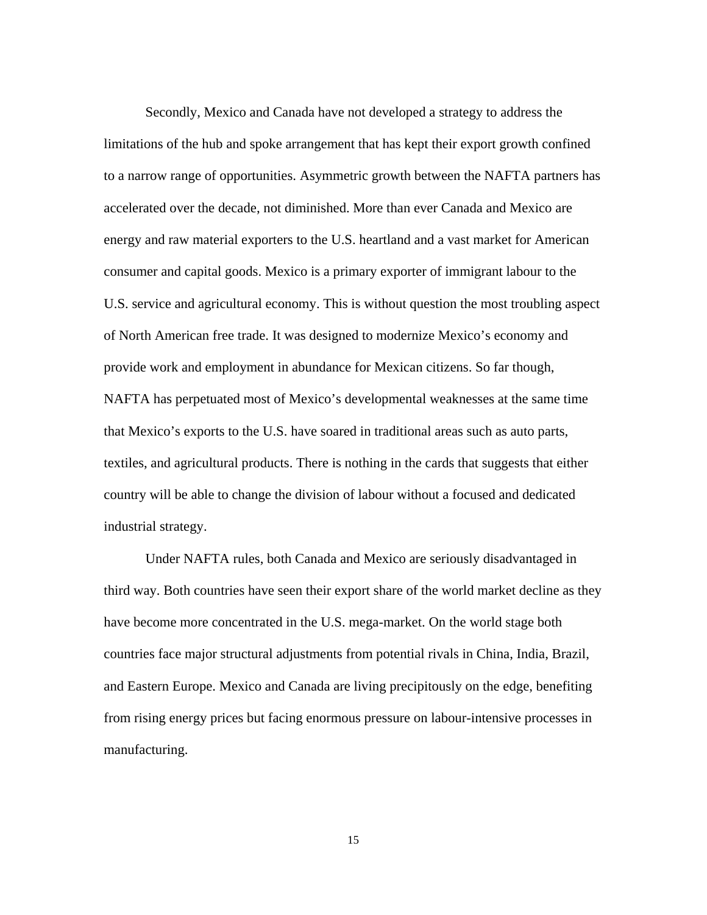Secondly, Mexico and Canada have not developed a strategy to address the limitations of the hub and spoke arrangement that has kept their export growth confined to a narrow range of opportunities. Asymmetric growth between the NAFTA partners has accelerated over the decade, not diminished. More than ever Canada and Mexico are energy and raw material exporters to the U.S. heartland and a vast market for American consumer and capital goods. Mexico is a primary exporter of immigrant labour to the U.S. service and agricultural economy. This is without question the most troubling aspect of North American free trade. It was designed to modernize Mexico's economy and provide work and employment in abundance for Mexican citizens. So far though, NAFTA has perpetuated most of Mexico's developmental weaknesses at the same time that Mexico's exports to the U.S. have soared in traditional areas such as auto parts, textiles, and agricultural products. There is nothing in the cards that suggests that either country will be able to change the division of labour without a focused and dedicated industrial strategy.

Under NAFTA rules, both Canada and Mexico are seriously disadvantaged in third way. Both countries have seen their export share of the world market decline as they have become more concentrated in the U.S. mega-market. On the world stage both countries face major structural adjustments from potential rivals in China, India, Brazil, and Eastern Europe. Mexico and Canada are living precipitously on the edge, benefiting from rising energy prices but facing enormous pressure on labour-intensive processes in manufacturing.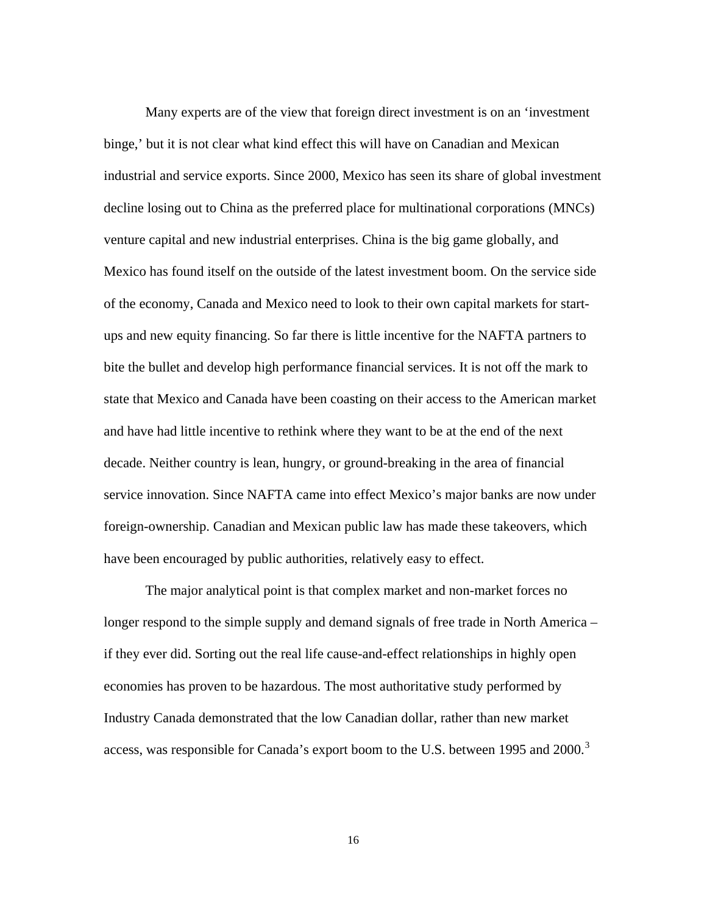Many experts are of the view that foreign direct investment is on an 'investment binge,' but it is not clear what kind effect this will have on Canadian and Mexican industrial and service exports. Since 2000, Mexico has seen its share of global investment decline losing out to China as the preferred place for multinational corporations (MNCs) venture capital and new industrial enterprises. China is the big game globally, and Mexico has found itself on the outside of the latest investment boom. On the service side of the economy, Canada and Mexico need to look to their own capital markets for startups and new equity financing. So far there is little incentive for the NAFTA partners to bite the bullet and develop high performance financial services. It is not off the mark to state that Mexico and Canada have been coasting on their access to the American market and have had little incentive to rethink where they want to be at the end of the next decade. Neither country is lean, hungry, or ground-breaking in the area of financial service innovation. Since NAFTA came into effect Mexico's major banks are now under foreign-ownership. Canadian and Mexican public law has made these takeovers, which have been encouraged by public authorities, relatively easy to effect.

The major analytical point is that complex market and non-market forces no longer respond to the simple supply and demand signals of free trade in North America – if they ever did. Sorting out the real life cause-and-effect relationships in highly open economies has proven to be hazardous. The most authoritative study performed by Industry Canada demonstrated that the low Canadian dollar, rather than new market access, was responsible for Canada's export boom to the U.S. between 1995 and  $2000$ .<sup>[3](#page-34-1)</sup>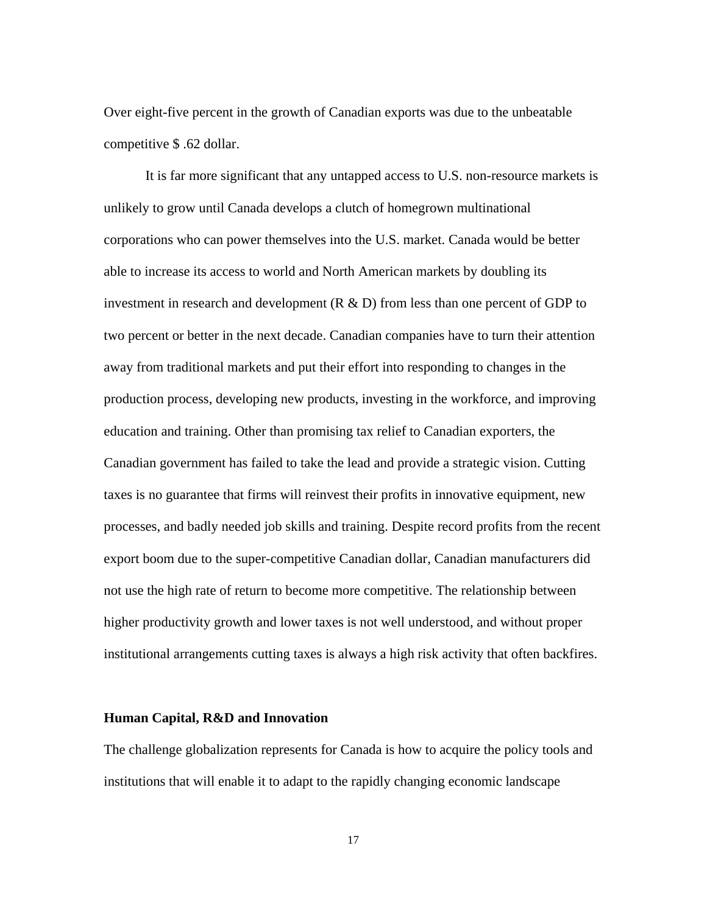Over eight-five percent in the growth of Canadian exports was due to the unbeatable competitive \$ .62 dollar.

It is far more significant that any untapped access to U.S. non-resource markets is unlikely to grow until Canada develops a clutch of homegrown multinational corporations who can power themselves into the U.S. market. Canada would be better able to increase its access to world and North American markets by doubling its investment in research and development  $(R \& D)$  from less than one percent of GDP to two percent or better in the next decade. Canadian companies have to turn their attention away from traditional markets and put their effort into responding to changes in the production process, developing new products, investing in the workforce, and improving education and training. Other than promising tax relief to Canadian exporters, the Canadian government has failed to take the lead and provide a strategic vision. Cutting taxes is no guarantee that firms will reinvest their profits in innovative equipment, new processes, and badly needed job skills and training. Despite record profits from the recent export boom due to the super-competitive Canadian dollar, Canadian manufacturers did not use the high rate of return to become more competitive. The relationship between higher productivity growth and lower taxes is not well understood, and without proper institutional arrangements cutting taxes is always a high risk activity that often backfires.

## **Human Capital, R&D and Innovation**

The challenge globalization represents for Canada is how to acquire the policy tools and institutions that will enable it to adapt to the rapidly changing economic landscape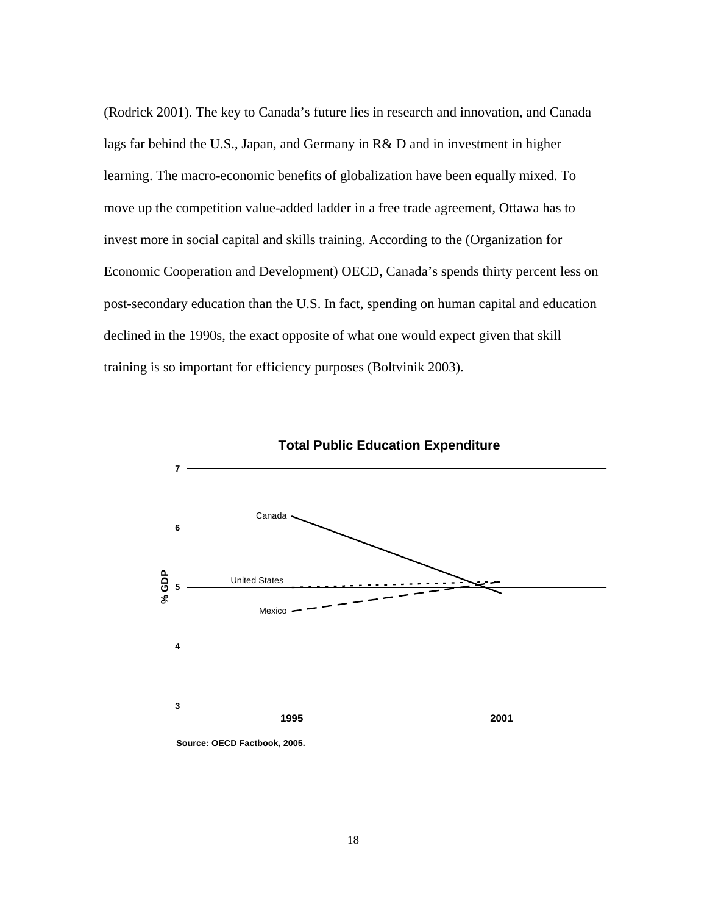(Rodrick 2001). The key to Canada's future lies in research and innovation, and Canada lags far behind the U.S., Japan, and Germany in R& D and in investment in higher learning. The macro-economic benefits of globalization have been equally mixed. To move up the competition value-added ladder in a free trade agreement, Ottawa has to invest more in social capital and skills training. According to the (Organization for Economic Cooperation and Development) OECD, Canada's spends thirty percent less on post-secondary education than the U.S. In fact, spending on human capital and education declined in the 1990s, the exact opposite of what one would expect given that skill training is so important for efficiency purposes (Boltvinik 2003).

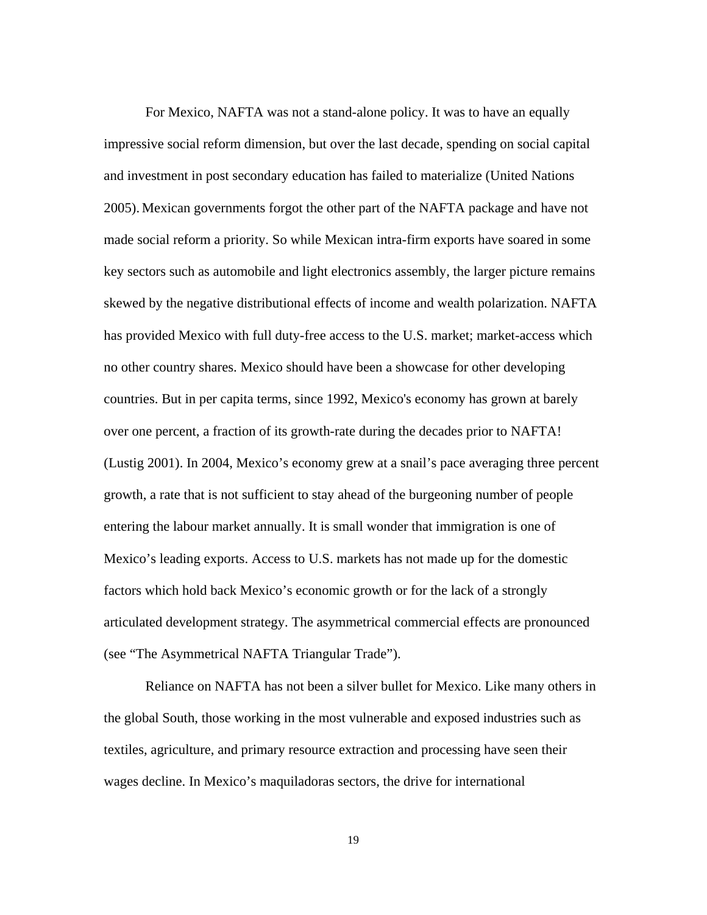For Mexico, NAFTA was not a stand-alone policy. It was to have an equally impressive social reform dimension, but over the last decade, spending on social capital and investment in post secondary education has failed to materialize (United Nations 2005). Mexican governments forgot the other part of the NAFTA package and have not made social reform a priority. So while Mexican intra-firm exports have soared in some key sectors such as automobile and light electronics assembly, the larger picture remains skewed by the negative distributional effects of income and wealth polarization. NAFTA has provided Mexico with full duty-free access to the U.S. market; market-access which no other country shares. Mexico should have been a showcase for other developing countries. But in per capita terms, since 1992, Mexico's economy has grown at barely over one percent, a fraction of its growth-rate during the decades prior to NAFTA! (Lustig 2001). In 2004, Mexico's economy grew at a snail's pace averaging three percent growth, a rate that is not sufficient to stay ahead of the burgeoning number of people entering the labour market annually. It is small wonder that immigration is one of Mexico's leading exports. Access to U.S. markets has not made up for the domestic factors which hold back Mexico's economic growth or for the lack of a strongly articulated development strategy. The asymmetrical commercial effects are pronounced (see "The Asymmetrical NAFTA Triangular Trade").

Reliance on NAFTA has not been a silver bullet for Mexico. Like many others in the global South, those working in the most vulnerable and exposed industries such as textiles, agriculture, and primary resource extraction and processing have seen their wages decline. In Mexico's maquiladoras sectors, the drive for international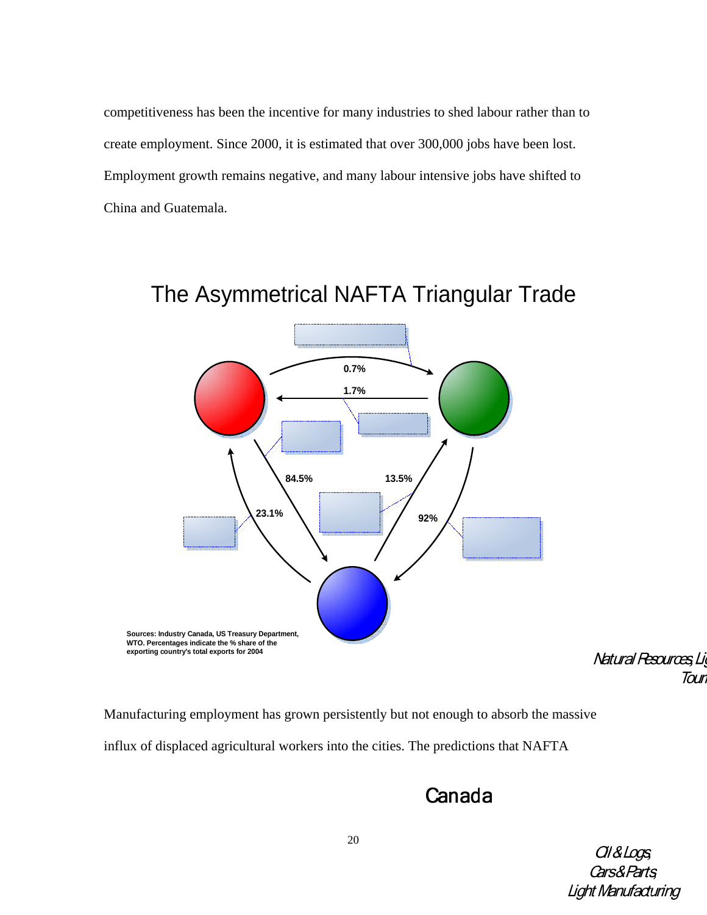competitiveness has been the incentive for many industries to shed labour rather than to create employment. Since 2000, it is estimated that over 300,000 jobs have been lost. Employment growth remains negative, and many labour intensive jobs have shifted to China and Guatemala.



# The Asymmetrical NAFTA Triangular Trade

Natural Resources, Li **Tour** 

Manufacturing employment has grown persistently but not enough to absorb the massive influx of displaced agricultural workers into the cities. The predictions that NAFTA

# Canada

Ol & Logs **Cars&Parts Light Manufacturing**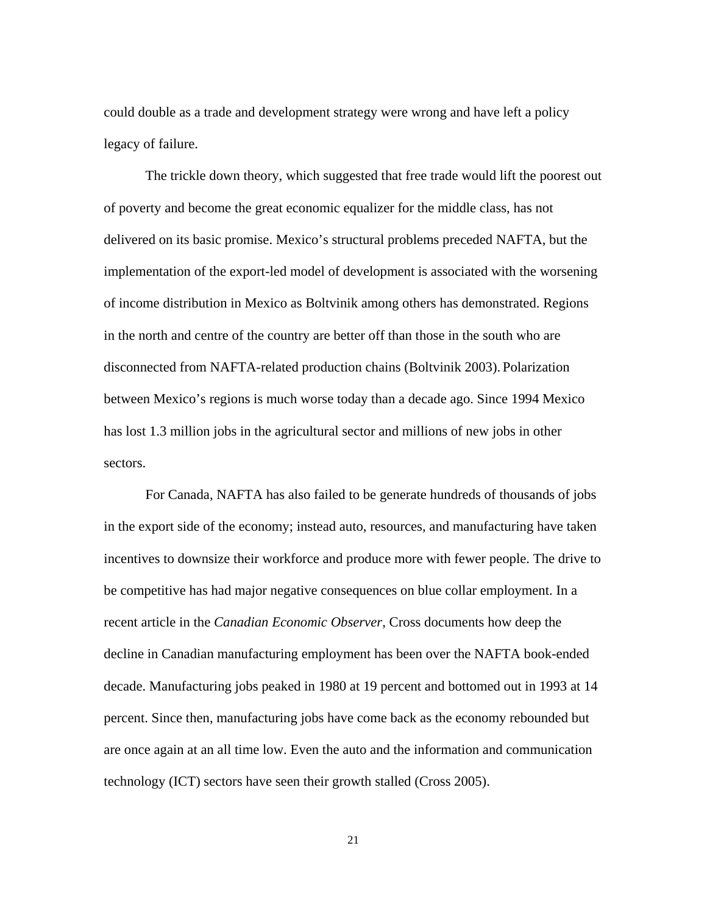could double as a trade and development strategy were wrong and have left a policy legacy of failure.

The trickle down theory, which suggested that free trade would lift the poorest out of poverty and become the great economic equalizer for the middle class, has not delivered on its basic promise. Mexico's structural problems preceded NAFTA, but the implementation of the export-led model of development is associated with the worsening of income distribution in Mexico as Boltvinik among others has demonstrated. Regions in the north and centre of the country are better off than those in the south who are disconnected from NAFTA-related production chains (Boltvinik 2003). Polarization between Mexico's regions is much worse today than a decade ago. Since 1994 Mexico has lost 1.3 million jobs in the agricultural sector and millions of new jobs in other sectors.

For Canada, NAFTA has also failed to be generate hundreds of thousands of jobs in the export side of the economy; instead auto, resources, and manufacturing have taken incentives to downsize their workforce and produce more with fewer people. The drive to be competitive has had major negative consequences on blue collar employment. In a recent article in the *Canadian Economic Observer*, Cross documents how deep the decline in Canadian manufacturing employment has been over the NAFTA book-ended decade. Manufacturing jobs peaked in 1980 at 19 percent and bottomed out in 1993 at 14 percent. Since then, manufacturing jobs have come back as the economy rebounded but are once again at an all time low. Even the auto and the information and communication technology (ICT) sectors have seen their growth stalled (Cross 2005).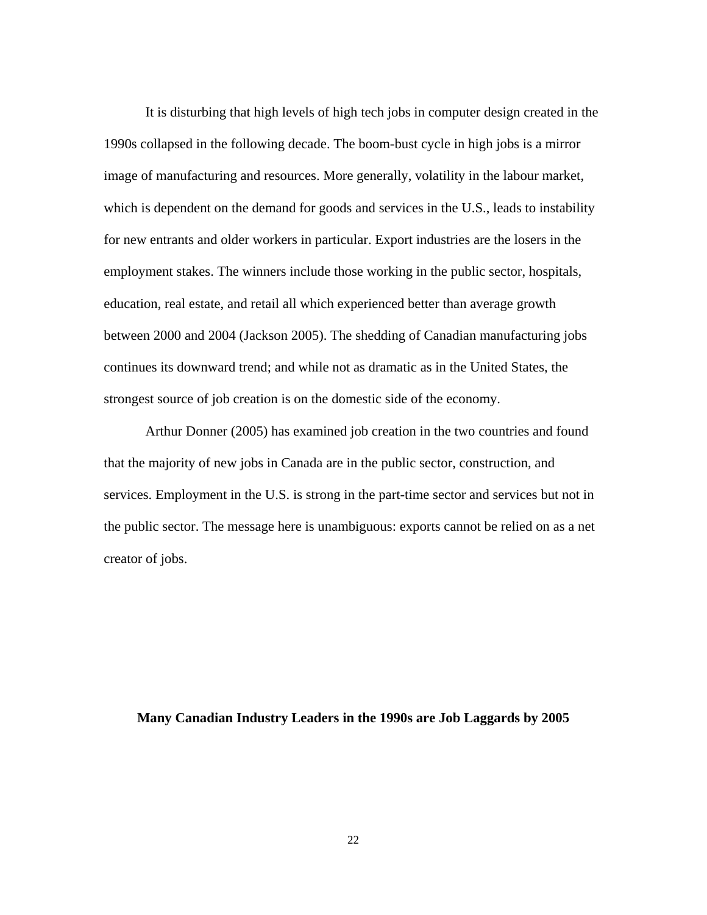It is disturbing that high levels of high tech jobs in computer design created in the 1990s collapsed in the following decade. The boom-bust cycle in high jobs is a mirror image of manufacturing and resources. More generally, volatility in the labour market, which is dependent on the demand for goods and services in the U.S., leads to instability for new entrants and older workers in particular. Export industries are the losers in the employment stakes. The winners include those working in the public sector, hospitals, education, real estate, and retail all which experienced better than average growth between 2000 and 2004 (Jackson 2005). The shedding of Canadian manufacturing jobs continues its downward trend; and while not as dramatic as in the United States, the strongest source of job creation is on the domestic side of the economy.

Arthur Donner (2005) has examined job creation in the two countries and found that the majority of new jobs in Canada are in the public sector, construction, and services. Employment in the U.S. is strong in the part-time sector and services but not in the public sector. The message here is unambiguous: exports cannot be relied on as a net creator of jobs.

## **Many Canadian Industry Leaders in the 1990s are Job Laggards by 2005**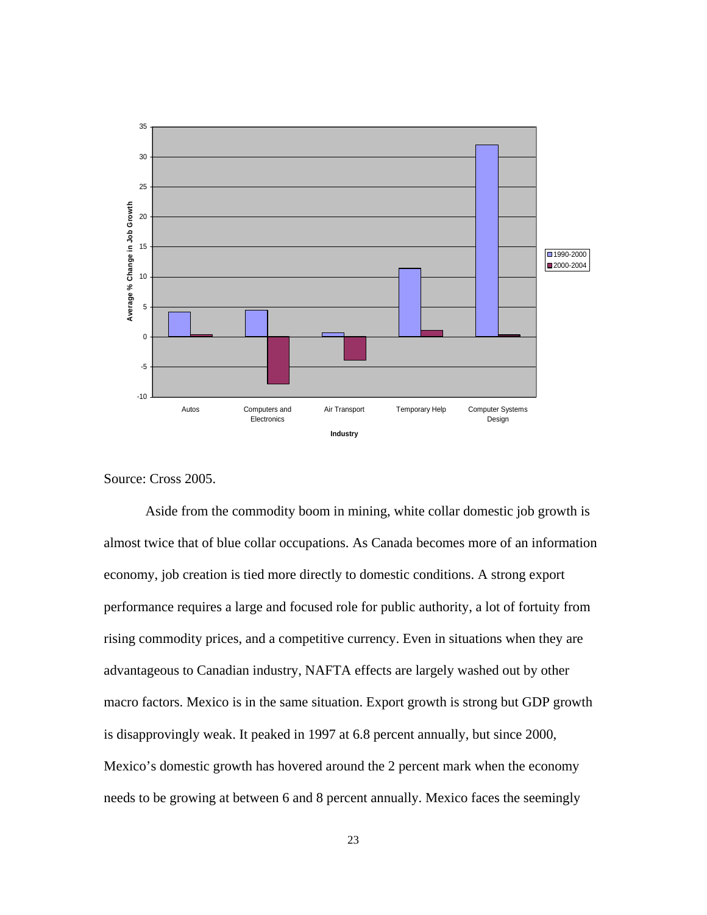

Source: Cross 2005.

Aside from the commodity boom in mining, white collar domestic job growth is almost twice that of blue collar occupations. As Canada becomes more of an information economy, job creation is tied more directly to domestic conditions. A strong export performance requires a large and focused role for public authority, a lot of fortuity from rising commodity prices, and a competitive currency. Even in situations when they are advantageous to Canadian industry, NAFTA effects are largely washed out by other macro factors. Mexico is in the same situation. Export growth is strong but GDP growth is disapprovingly weak. It peaked in 1997 at 6.8 percent annually, but since 2000, Mexico's domestic growth has hovered around the 2 percent mark when the economy needs to be growing at between 6 and 8 percent annually. Mexico faces the seemingly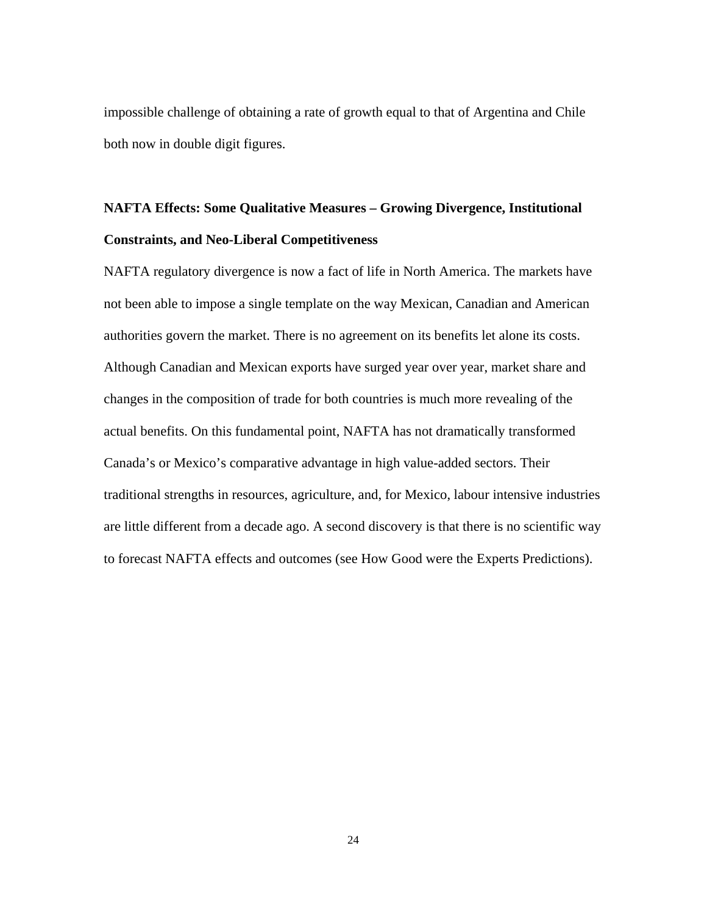impossible challenge of obtaining a rate of growth equal to that of Argentina and Chile both now in double digit figures.

## **NAFTA Effects: Some Qualitative Measures – Growing Divergence, Institutional Constraints, and Neo-Liberal Competitiveness**

NAFTA regulatory divergence is now a fact of life in North America. The markets have not been able to impose a single template on the way Mexican, Canadian and American authorities govern the market. There is no agreement on its benefits let alone its costs. Although Canadian and Mexican exports have surged year over year, market share and changes in the composition of trade for both countries is much more revealing of the actual benefits. On this fundamental point, NAFTA has not dramatically transformed Canada's or Mexico's comparative advantage in high value-added sectors. Their traditional strengths in resources, agriculture, and, for Mexico, labour intensive industries are little different from a decade ago. A second discovery is that there is no scientific way to forecast NAFTA effects and outcomes (see How Good were the Experts Predictions).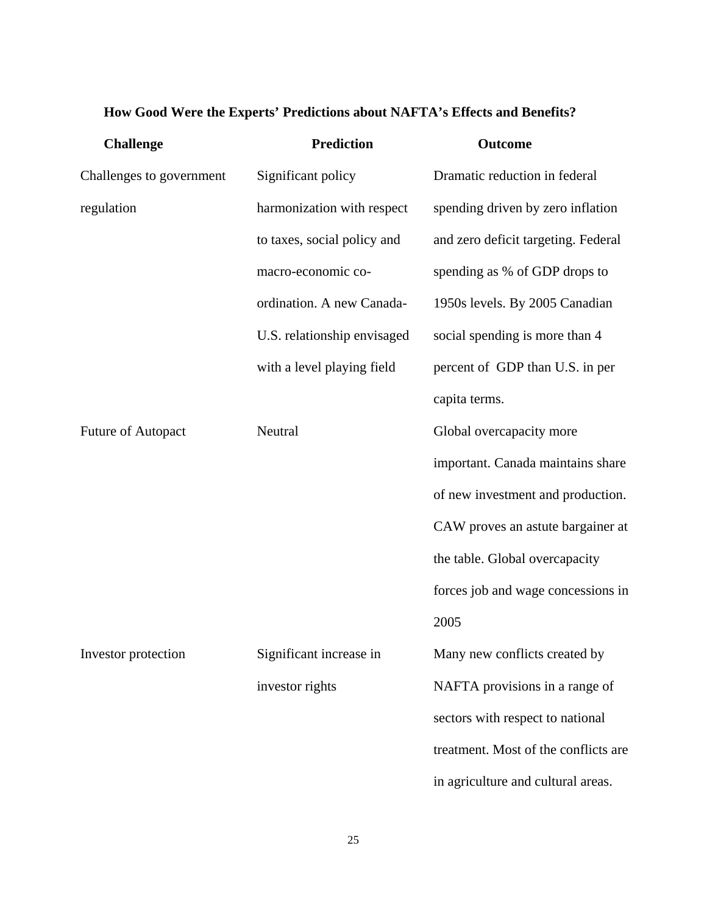## **How Good Were the Experts' Predictions about NAFTA's Effects and Benefits?**

| <b>Challenge</b>         | <b>Prediction</b>           | Outcome                              |
|--------------------------|-----------------------------|--------------------------------------|
| Challenges to government | Significant policy          | Dramatic reduction in federal        |
| regulation               | harmonization with respect  | spending driven by zero inflation    |
|                          | to taxes, social policy and | and zero deficit targeting. Federal  |
|                          | macro-economic co-          | spending as % of GDP drops to        |
|                          | ordination. A new Canada-   | 1950s levels. By 2005 Canadian       |
|                          | U.S. relationship envisaged | social spending is more than 4       |
|                          | with a level playing field  | percent of GDP than U.S. in per      |
|                          |                             | capita terms.                        |
| Future of Autopact       | Neutral                     | Global overcapacity more             |
|                          |                             | important. Canada maintains share    |
|                          |                             | of new investment and production.    |
|                          |                             | CAW proves an astute bargainer at    |
|                          |                             | the table. Global overcapacity       |
|                          |                             | forces job and wage concessions in   |
|                          |                             | 2005                                 |
| Investor protection      | Significant increase in     | Many new conflicts created by        |
|                          | investor rights             | NAFTA provisions in a range of       |
|                          |                             | sectors with respect to national     |
|                          |                             | treatment. Most of the conflicts are |
|                          |                             | in agriculture and cultural areas.   |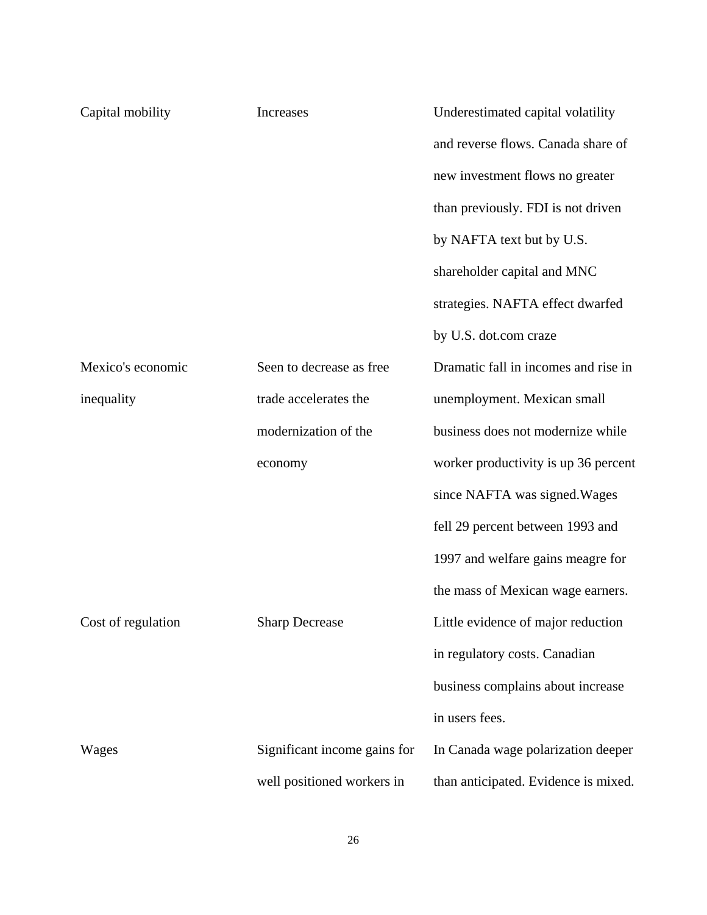| Capital mobility   | Increases                    | Underestimated capital volatility    |
|--------------------|------------------------------|--------------------------------------|
|                    |                              | and reverse flows. Canada share of   |
|                    |                              | new investment flows no greater      |
|                    |                              | than previously. FDI is not driven   |
|                    |                              | by NAFTA text but by U.S.            |
|                    |                              | shareholder capital and MNC          |
|                    |                              | strategies. NAFTA effect dwarfed     |
|                    |                              | by U.S. dot.com craze                |
| Mexico's economic  | Seen to decrease as free     | Dramatic fall in incomes and rise in |
| inequality         | trade accelerates the        | unemployment. Mexican small          |
|                    | modernization of the         | business does not modernize while    |
|                    | economy                      | worker productivity is up 36 percent |
|                    |                              | since NAFTA was signed. Wages        |
|                    |                              | fell 29 percent between 1993 and     |
|                    |                              | 1997 and welfare gains meagre for    |
|                    |                              | the mass of Mexican wage earners.    |
| Cost of regulation | <b>Sharp Decrease</b>        | Little evidence of major reduction   |
|                    |                              | in regulatory costs. Canadian        |
|                    |                              | business complains about increase    |
|                    |                              | in users fees.                       |
| Wages              | Significant income gains for | In Canada wage polarization deeper   |
|                    | well positioned workers in   | than anticipated. Evidence is mixed. |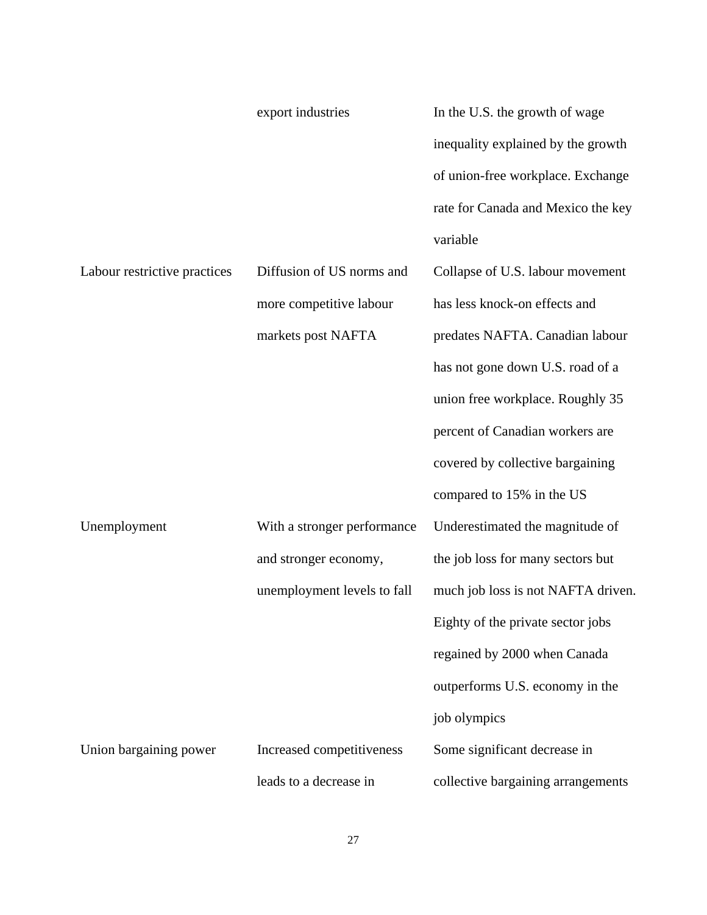|                              | export industries           | In the U.S. the growth of wage     |
|------------------------------|-----------------------------|------------------------------------|
|                              |                             | inequality explained by the growth |
|                              |                             | of union-free workplace. Exchange  |
|                              |                             | rate for Canada and Mexico the key |
|                              |                             | variable                           |
| Labour restrictive practices | Diffusion of US norms and   | Collapse of U.S. labour movement   |
|                              | more competitive labour     | has less knock-on effects and      |
|                              | markets post NAFTA          | predates NAFTA. Canadian labour    |
|                              |                             | has not gone down U.S. road of a   |
|                              |                             | union free workplace. Roughly 35   |
|                              |                             | percent of Canadian workers are    |
|                              |                             | covered by collective bargaining   |
|                              |                             | compared to 15% in the US          |
| Unemployment                 | With a stronger performance | Underestimated the magnitude of    |
|                              | and stronger economy,       | the job loss for many sectors but  |
|                              | unemployment levels to fall | much job loss is not NAFTA driven. |
|                              |                             | Eighty of the private sector jobs  |
|                              |                             | regained by 2000 when Canada       |
|                              |                             | outperforms U.S. economy in the    |
|                              |                             | job olympics                       |
| Union bargaining power       | Increased competitiveness   | Some significant decrease in       |
|                              | leads to a decrease in      | collective bargaining arrangements |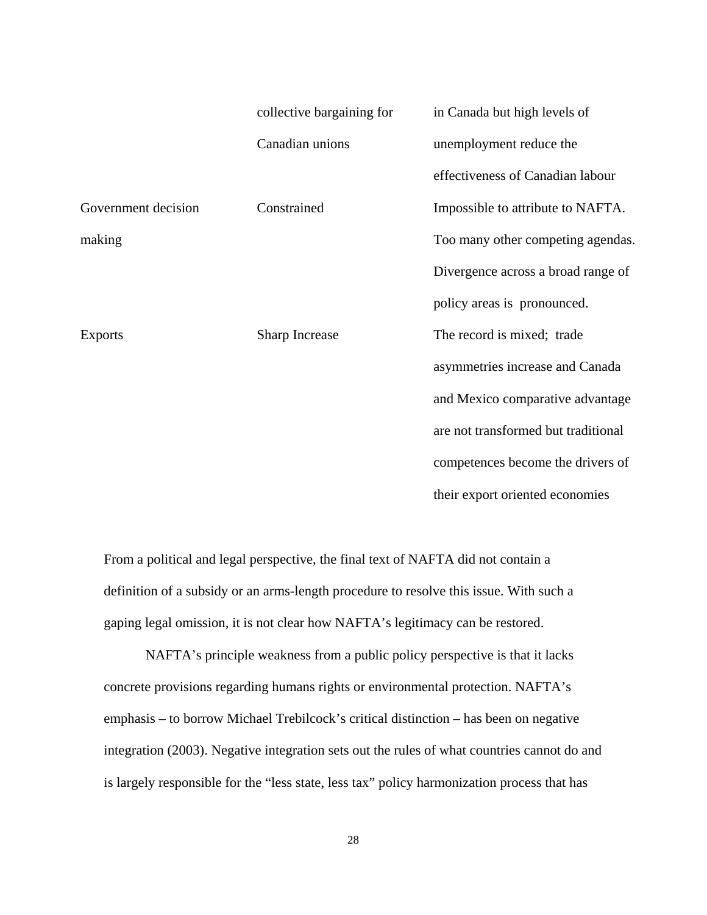|                     | collective bargaining for | in Canada but high levels of        |
|---------------------|---------------------------|-------------------------------------|
|                     | Canadian unions           | unemployment reduce the             |
|                     |                           | effectiveness of Canadian labour    |
| Government decision | Constrained               | Impossible to attribute to NAFTA.   |
| making              |                           | Too many other competing agendas.   |
|                     |                           | Divergence across a broad range of  |
|                     |                           | policy areas is pronounced.         |
| <b>Exports</b>      | Sharp Increase            | The record is mixed; trade          |
|                     |                           | asymmetries increase and Canada     |
|                     |                           | and Mexico comparative advantage    |
|                     |                           | are not transformed but traditional |
|                     |                           | competences become the drivers of   |
|                     |                           | their export oriented economies     |

From a political and legal perspective, the final text of NAFTA did not contain a definition of a subsidy or an arms-length procedure to resolve this issue. With such a gaping legal omission, it is not clear how NAFTA's legitimacy can be restored.

NAFTA's principle weakness from a public policy perspective is that it lacks concrete provisions regarding humans rights or environmental protection. NAFTA's emphasis – to borrow Michael Trebilcock's critical distinction – has been on negative integration (2003). Negative integration sets out the rules of what countries cannot do and is largely responsible for the "less state, less tax" policy harmonization process that has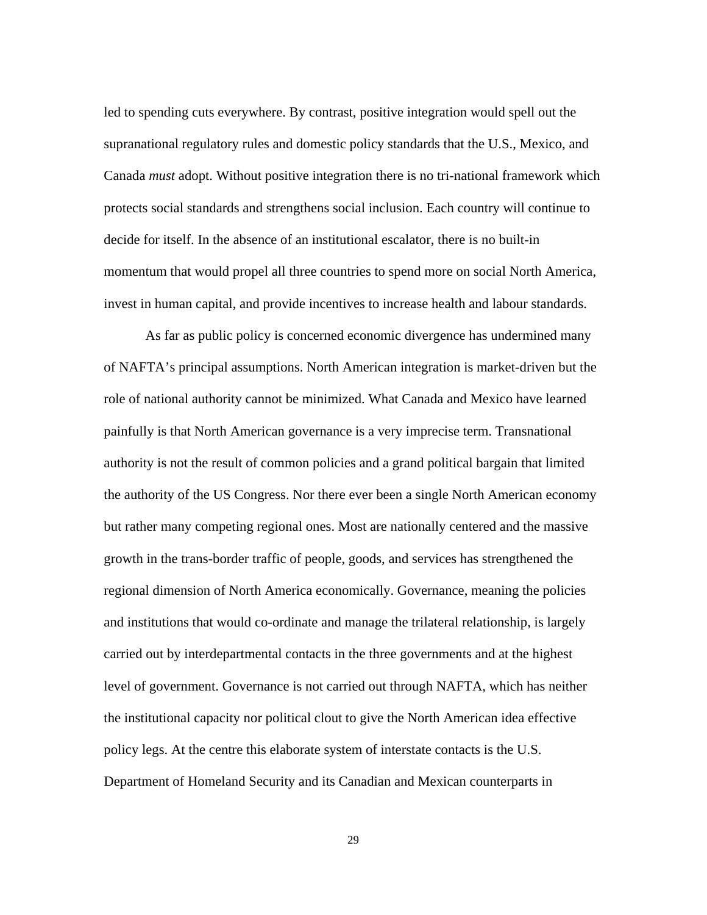led to spending cuts everywhere. By contrast, positive integration would spell out the supranational regulatory rules and domestic policy standards that the U.S., Mexico, and Canada *must* adopt. Without positive integration there is no tri-national framework which protects social standards and strengthens social inclusion. Each country will continue to decide for itself. In the absence of an institutional escalator, there is no built-in momentum that would propel all three countries to spend more on social North America, invest in human capital, and provide incentives to increase health and labour standards.

As far as public policy is concerned economic divergence has undermined many of NAFTA's principal assumptions. North American integration is market-driven but the role of national authority cannot be minimized. What Canada and Mexico have learned painfully is that North American governance is a very imprecise term. Transnational authority is not the result of common policies and a grand political bargain that limited the authority of the US Congress. Nor there ever been a single North American economy but rather many competing regional ones. Most are nationally centered and the massive growth in the trans-border traffic of people, goods, and services has strengthened the regional dimension of North America economically. Governance, meaning the policies and institutions that would co-ordinate and manage the trilateral relationship, is largely carried out by interdepartmental contacts in the three governments and at the highest level of government. Governance is not carried out through NAFTA, which has neither the institutional capacity nor political clout to give the North American idea effective policy legs. At the centre this elaborate system of interstate contacts is the U.S. Department of Homeland Security and its Canadian and Mexican counterparts in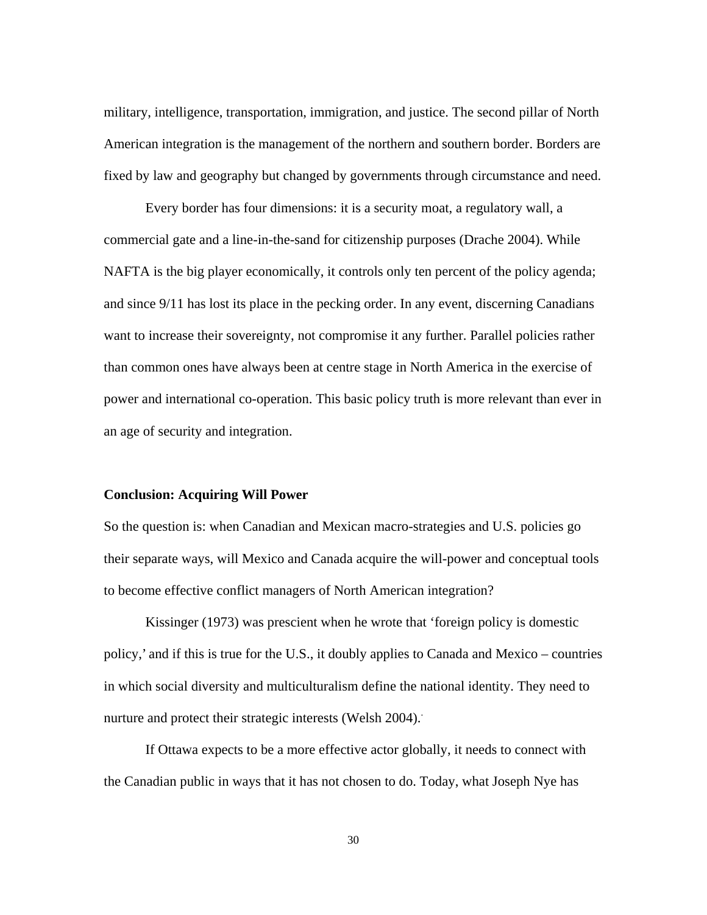military, intelligence, transportation, immigration, and justice. The second pillar of North American integration is the management of the northern and southern border. Borders are fixed by law and geography but changed by governments through circumstance and need.

Every border has four dimensions: it is a security moat, a regulatory wall, a commercial gate and a line-in-the-sand for citizenship purposes (Drache 2004). While NAFTA is the big player economically, it controls only ten percent of the policy agenda; and since 9/11 has lost its place in the pecking order. In any event, discerning Canadians want to increase their sovereignty, not compromise it any further. Parallel policies rather than common ones have always been at centre stage in North America in the exercise of power and international co-operation. This basic policy truth is more relevant than ever in an age of security and integration.

#### **Conclusion: Acquiring Will Power**

So the question is: when Canadian and Mexican macro-strategies and U.S. policies go their separate ways, will Mexico and Canada acquire the will-power and conceptual tools to become effective conflict managers of North American integration?

Kissinger (1973) was prescient when he wrote that 'foreign policy is domestic policy,' and if this is true for the U.S., it doubly applies to Canada and Mexico – countries in which social diversity and multiculturalism define the national identity. They need to nurture and protect their strategic interests (Welsh 2004).

If Ottawa expects to be a more effective actor globally, it needs to connect with the Canadian public in ways that it has not chosen to do. Today, what Joseph Nye has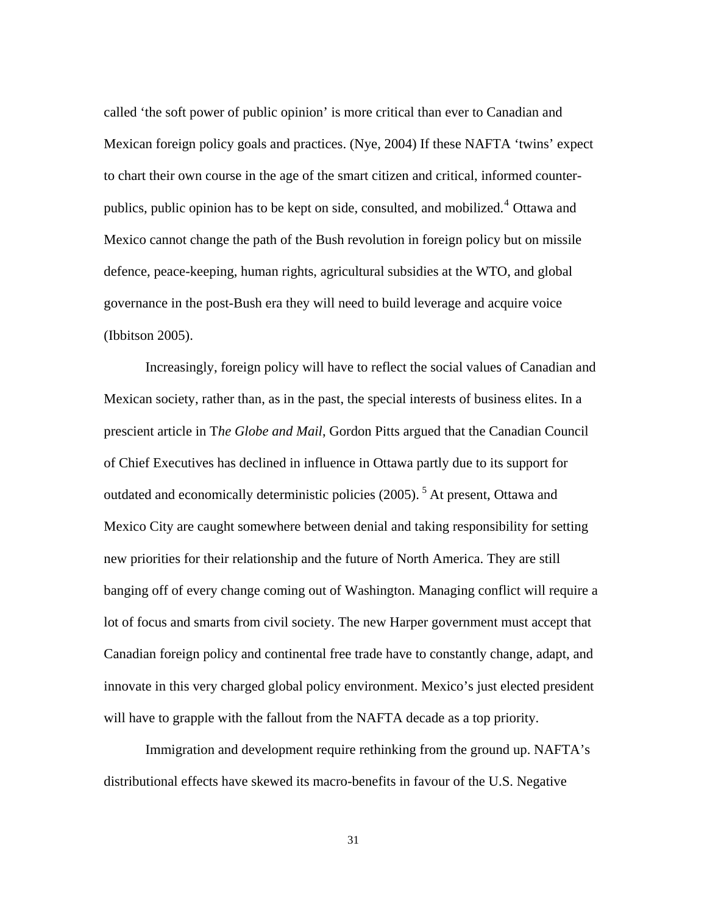called 'the soft power of public opinion' is more critical than ever to Canadian and Mexican foreign policy goals and practices. (Nye, 2004) If these NAFTA 'twins' expect to chart their own course in the age of the smart citizen and critical, informed counter-publics, public opinion has to be kept on side, consulted, and mobilized.<sup>[4](#page-34-1)</sup> Ottawa and Mexico cannot change the path of the Bush revolution in foreign policy but on missile defence, peace-keeping, human rights, agricultural subsidies at the WTO, and global governance in the post-Bush era they will need to build leverage and acquire voice (Ibbitson 2005).

Increasingly, foreign policy will have to reflect the social values of Canadian and Mexican society, rather than, as in the past, the special interests of business elites. In a prescient article in T*he Globe and Mail*, Gordon Pitts argued that the Canadian Council of Chief Executives has declined in influence in Ottawa partly due to its support for outdated and economically deterministic policies (2005). [5](#page-34-1) At present, Ottawa and Mexico City are caught somewhere between denial and taking responsibility for setting new priorities for their relationship and the future of North America. They are still banging off of every change coming out of Washington. Managing conflict will require a lot of focus and smarts from civil society. The new Harper government must accept that Canadian foreign policy and continental free trade have to constantly change, adapt, and innovate in this very charged global policy environment. Mexico's just elected president will have to grapple with the fallout from the NAFTA decade as a top priority.

Immigration and development require rethinking from the ground up. NAFTA's distributional effects have skewed its macro-benefits in favour of the U.S. Negative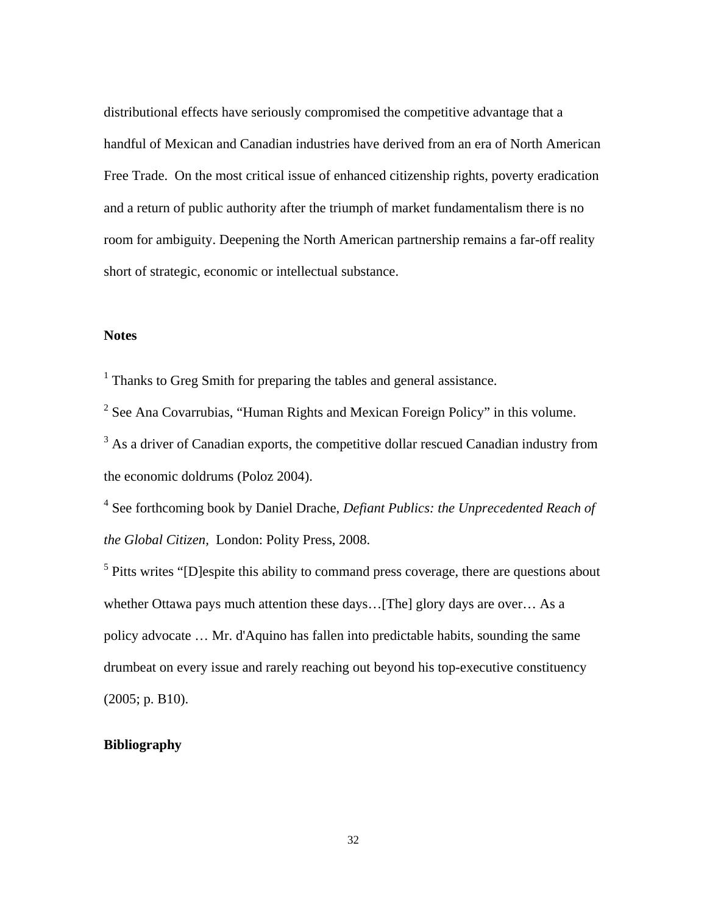distributional effects have seriously compromised the competitive advantage that a handful of Mexican and Canadian industries have derived from an era of North American Free Trade. On the most critical issue of enhanced citizenship rights, poverty eradication and a return of public authority after the triumph of market fundamentalism there is no room for ambiguity. Deepening the North American partnership remains a far-off reality short of strategic, economic or intellectual substance.

## **Notes**

<sup>1</sup> Thanks to Greg Smith for preparing the tables and general assistance.

<sup>2</sup> See Ana Covarrubias, "Human Rights and Mexican Foreign Policy" in this volume.

 $3$  As a driver of Canadian exports, the competitive dollar rescued Canadian industry from the economic doldrums (Poloz 2004).

4 See forthcoming book by Daniel Drache, *Defiant Publics: the Unprecedented Reach of the Global Citizen,* London: Polity Press, 2008.

 $<sup>5</sup>$  Pitts writes "[D]espite this ability to command press coverage, there are questions about</sup> whether Ottawa pays much attention these days...[The] glory days are over... As a policy advocate … Mr. d'Aquino has fallen into predictable habits, sounding the same drumbeat on every issue and rarely reaching out beyond his top-executive constituency (2005; p. B10).

## **Bibliography**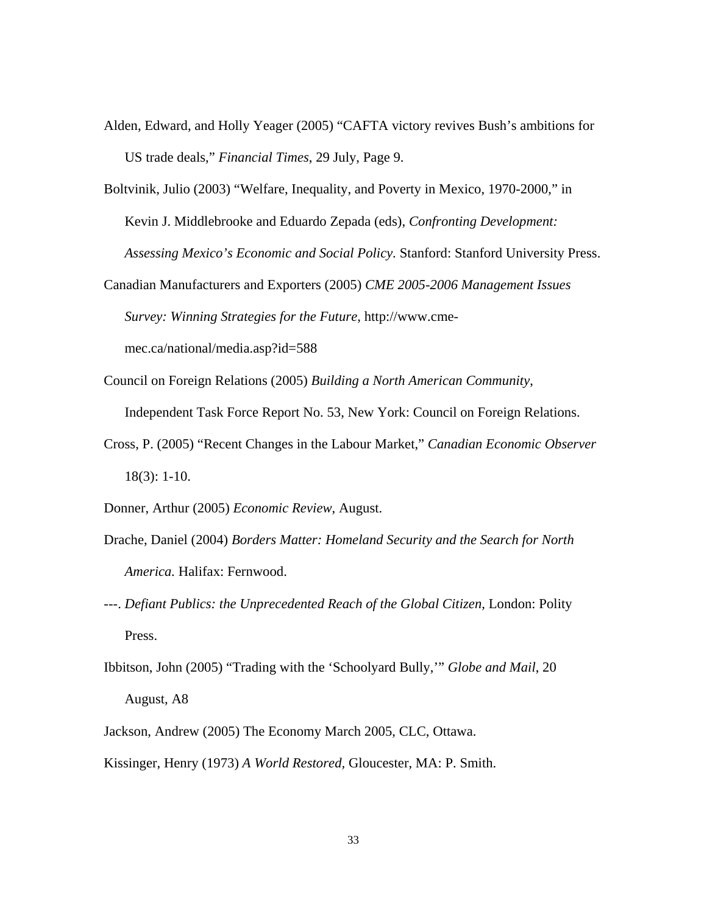- Alden, Edward, and Holly Yeager (2005) "CAFTA victory revives Bush's ambitions for US trade deals," *Financial Times*, 29 July, Page 9.
- Boltvinik, Julio (2003) "Welfare, Inequality, and Poverty in Mexico, 1970-2000," in Kevin J. Middlebrooke and Eduardo Zepada (eds), *Confronting Development: Assessing Mexico's Economic and Social Policy.* Stanford: Stanford University Press.
- Canadian Manufacturers and Exporters (2005) *CME 2005-2006 Management Issues Survey: Winning Strategies for the Future,* http://www.cme-

mec.ca/national/media.asp?id=588

- Council on Foreign Relations (2005) *Building a North American Community*, Independent Task Force Report No. 53, New York: Council on Foreign Relations.
- Cross, P. (2005) "Recent Changes in the Labour Market," *Canadian Economic Observer* 18(3): 1-10.
- Donner, Arthur (2005) *Economic Review*, August.
- Drache, Daniel (2004) *Borders Matter: Homeland Security and the Search for North America.* Halifax: Fernwood.
- ---. *Defiant Publics: the Unprecedented Reach of the Global Citizen,* London: Polity Press.
- Ibbitson, John (2005) "Trading with the 'Schoolyard Bully,'" *Globe and Mail*, 20 August, A8
- Jackson, Andrew (2005) The Economy March 2005, CLC, Ottawa.
- Kissinger, Henry (1973) *A World Restored,* Gloucester, MA: P. Smith.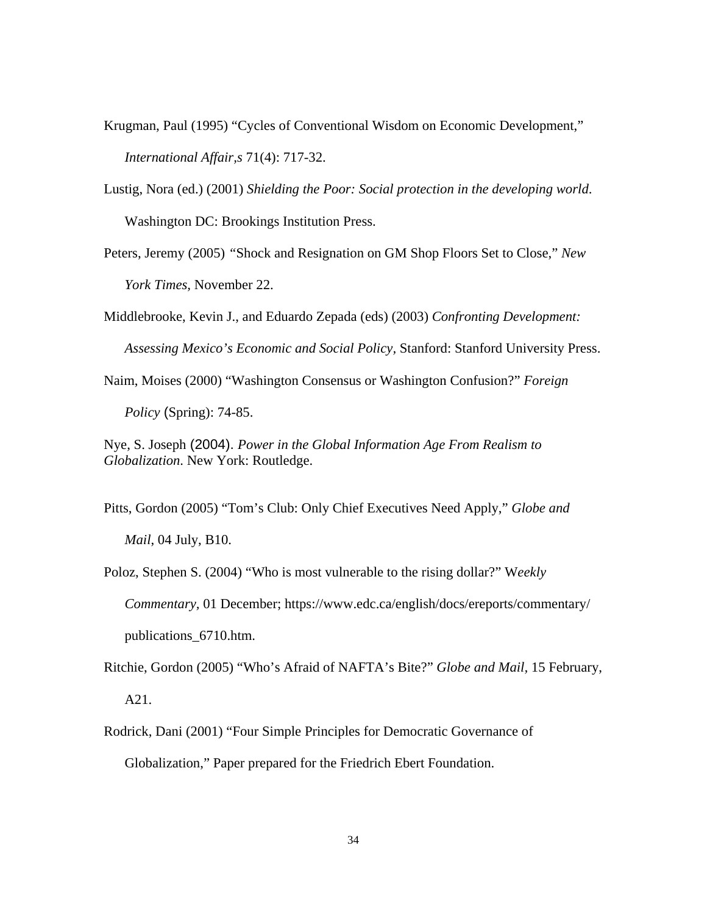- Krugman, Paul (1995) "Cycles of Conventional Wisdom on Economic Development," *International Affair,s* 71(4): 717-32.
- Lustig, Nora (ed.) (2001) *Shielding the Poor: Social protection in the developing world*. Washington DC: Brookings Institution Press.
- Peters, Jeremy (2005) *"*Shock and Resignation on GM Shop Floors Set to Close," *New York Times,* November 22.
- Middlebrooke, Kevin J., and Eduardo Zepada (eds) (2003) *Confronting Development: Assessing Mexico's Economic and Social Policy,* Stanford: Stanford University Press.
- Naim, Moises (2000) "Washington Consensus or Washington Confusion?" *Foreign Policy* (Spring): 74-85.
- Nye, S. Joseph (2004). *Power in the Global Information Age From Realism to Globalization*. New York: Routledge.
- Pitts, Gordon (2005) "Tom's Club: Only Chief Executives Need Apply," *Globe and Mail*, 04 July, B10.
- Poloz, Stephen S. (2004) "Who is most vulnerable to the rising dollar?" W*eekly Commentary,* 01 December; https://www.edc.ca/english/docs/ereports/commentary/ publications\_6710.htm.
- Ritchie, Gordon (2005) "Who's Afraid of NAFTA's Bite?" *Globe and Mail,* 15 February, A21.
- Rodrick, Dani (2001) "Four Simple Principles for Democratic Governance of Globalization," Paper prepared for the Friedrich Ebert Foundation.